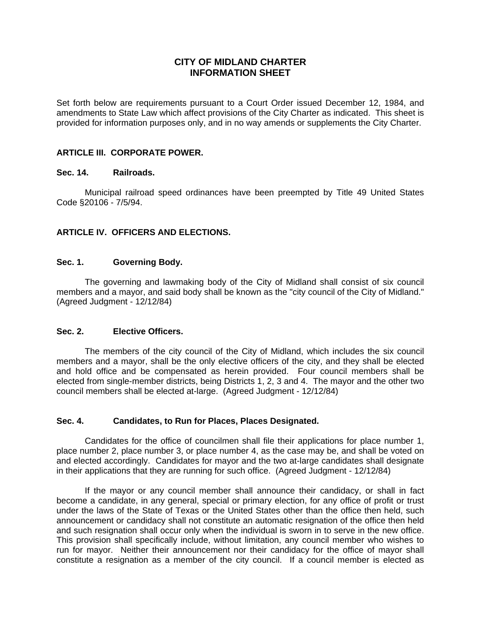### **CITY OF MIDLAND CHARTER INFORMATION SHEET**

Set forth below are requirements pursuant to a Court Order issued December 12, 1984, and amendments to State Law which affect provisions of the City Charter as indicated. This sheet is provided for information purposes only, and in no way amends or supplements the City Charter.

### **ARTICLE III. CORPORATE POWER.**

#### **Sec. 14. Railroads.**

 Municipal railroad speed ordinances have been preempted by Title 49 United States Code §20106 - 7/5/94.

### **ARTICLE IV. OFFICERS AND ELECTIONS.**

#### **Sec. 1. Governing Body.**

 The governing and lawmaking body of the City of Midland shall consist of six council members and a mayor, and said body shall be known as the "city council of the City of Midland." (Agreed Judgment - 12/12/84)

#### **Sec. 2. Elective Officers.**

 The members of the city council of the City of Midland, which includes the six council members and a mayor, shall be the only elective officers of the city, and they shall be elected and hold office and be compensated as herein provided. Four council members shall be elected from single-member districts, being Districts 1, 2, 3 and 4. The mayor and the other two council members shall be elected at-large. (Agreed Judgment - 12/12/84)

#### **Sec. 4. Candidates, to Run for Places, Places Designated.**

 Candidates for the office of councilmen shall file their applications for place number 1, place number 2, place number 3, or place number 4, as the case may be, and shall be voted on and elected accordingly. Candidates for mayor and the two at-large candidates shall designate in their applications that they are running for such office. (Agreed Judgment - 12/12/84)

 If the mayor or any council member shall announce their candidacy, or shall in fact become a candidate, in any general, special or primary election, for any office of profit or trust under the laws of the State of Texas or the United States other than the office then held, such announcement or candidacy shall not constitute an automatic resignation of the office then held and such resignation shall occur only when the individual is sworn in to serve in the new office. This provision shall specifically include, without limitation, any council member who wishes to run for mayor. Neither their announcement nor their candidacy for the office of mayor shall constitute a resignation as a member of the city council. If a council member is elected as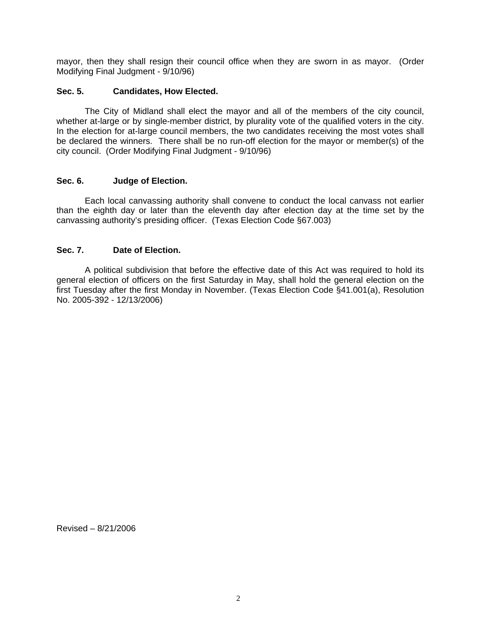mayor, then they shall resign their council office when they are sworn in as mayor. (Order Modifying Final Judgment - 9/10/96)

### **Sec. 5. Candidates, How Elected.**

 The City of Midland shall elect the mayor and all of the members of the city council, whether at-large or by single-member district, by plurality vote of the qualified voters in the city. In the election for at-large council members, the two candidates receiving the most votes shall be declared the winners. There shall be no run-off election for the mayor or member(s) of the city council. (Order Modifying Final Judgment - 9/10/96)

#### **Sec. 6. Judge of Election.**

 Each local canvassing authority shall convene to conduct the local canvass not earlier than the eighth day or later than the eleventh day after election day at the time set by the canvassing authority's presiding officer. (Texas Election Code §67.003)

#### **Sec. 7. Date of Election.**

 A political subdivision that before the effective date of this Act was required to hold its general election of officers on the first Saturday in May, shall hold the general election on the first Tuesday after the first Monday in November. (Texas Election Code §41.001(a), Resolution No. 2005-392 - 12/13/2006)

Revised – 8/21/2006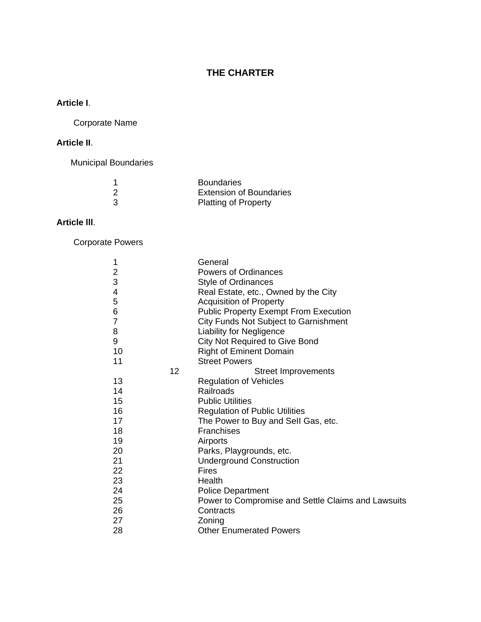# **THE CHARTER**

# **Article I**.

Corporate Name

# **Article II**.

Municipal Boundaries

| <b>Boundaries</b>              |
|--------------------------------|
| <b>Extension of Boundaries</b> |
| <b>Platting of Property</b>    |

# **Article lll**.

Corporate Powers

| 1                       |    | General                                            |
|-------------------------|----|----------------------------------------------------|
| $\overline{\mathbf{c}}$ |    | <b>Powers of Ordinances</b>                        |
| 3                       |    | <b>Style of Ordinances</b>                         |
| 4                       |    | Real Estate, etc., Owned by the City               |
| 5                       |    | <b>Acquisition of Property</b>                     |
| 6                       |    | <b>Public Property Exempt From Execution</b>       |
| 7                       |    | City Funds Not Subject to Garnishment              |
| 8                       |    | <b>Liability for Negligence</b>                    |
| 9                       |    | <b>City Not Required to Give Bond</b>              |
| 10                      |    | <b>Right of Eminent Domain</b>                     |
| 11                      |    | <b>Street Powers</b>                               |
|                         | 12 | <b>Street Improvements</b>                         |
| 13                      |    | <b>Regulation of Vehicles</b>                      |
| 14                      |    | Railroads                                          |
| 15                      |    | <b>Public Utilities</b>                            |
| 16                      |    | <b>Regulation of Public Utilities</b>              |
| 17                      |    | The Power to Buy and Sell Gas, etc.                |
| 18                      |    | <b>Franchises</b>                                  |
| 19                      |    | Airports                                           |
| 20                      |    | Parks, Playgrounds, etc.                           |
| 21                      |    | <b>Underground Construction</b>                    |
| 22                      |    | <b>Fires</b>                                       |
| 23                      |    | Health                                             |
| 24                      |    | <b>Police Department</b>                           |
| 25                      |    | Power to Compromise and Settle Claims and Lawsuits |
| 26                      |    | Contracts                                          |
| 27                      |    | Zoning                                             |
| 28                      |    | <b>Other Enumerated Powers</b>                     |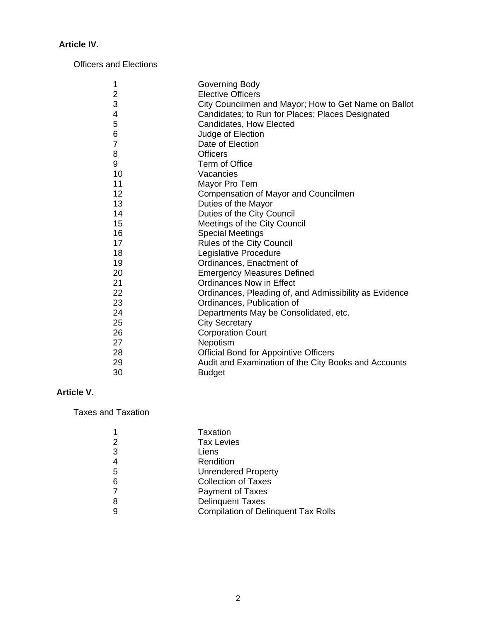# **Article IV**.

Officers and Elections

| 1              | Governing Body                                         |
|----------------|--------------------------------------------------------|
| $\overline{c}$ | <b>Elective Officers</b>                               |
| 3              | City Councilmen and Mayor; How to Get Name on Ballot   |
| 4              | Candidates; to Run for Places; Places Designated       |
| 5              | Candidates, How Elected                                |
| 6              | Judge of Election                                      |
| $\overline{7}$ | Date of Election                                       |
| 8              | <b>Officers</b>                                        |
| 9              | Term of Office                                         |
| 10             | Vacancies                                              |
| 11             | Mayor Pro Tem                                          |
| 12             | Compensation of Mayor and Councilmen                   |
| 13             | Duties of the Mayor                                    |
| 14             | Duties of the City Council                             |
| 15             | Meetings of the City Council                           |
| 16             | <b>Special Meetings</b>                                |
| 17             | Rules of the City Council                              |
| 18             | Legislative Procedure                                  |
| 19             | Ordinances, Enactment of                               |
| 20             | <b>Emergency Measures Defined</b>                      |
| 21             | <b>Ordinances Now in Effect</b>                        |
| 22             | Ordinances, Pleading of, and Admissibility as Evidence |
| 23             | Ordinances, Publication of                             |
| 24             | Departments May be Consolidated, etc.                  |
| 25             | <b>City Secretary</b>                                  |
| 26             | <b>Corporation Court</b>                               |
| 27             | Nepotism                                               |
| 28             | <b>Official Bond for Appointive Officers</b>           |
| 29             | Audit and Examination of the City Books and Accounts   |
| 30             | <b>Budget</b>                                          |

# **Article V.**

Taxes and Taxation

|   | Taxation                                   |
|---|--------------------------------------------|
|   | <b>Tax Levies</b>                          |
| 3 | Liens                                      |
| 4 | Rendition                                  |
| 5 | <b>Unrendered Property</b>                 |
| 6 | <b>Collection of Taxes</b>                 |
|   | <b>Payment of Taxes</b>                    |
| 8 | <b>Delinquent Taxes</b>                    |
| 9 | <b>Compilation of Delinquent Tax Rolls</b> |
|   |                                            |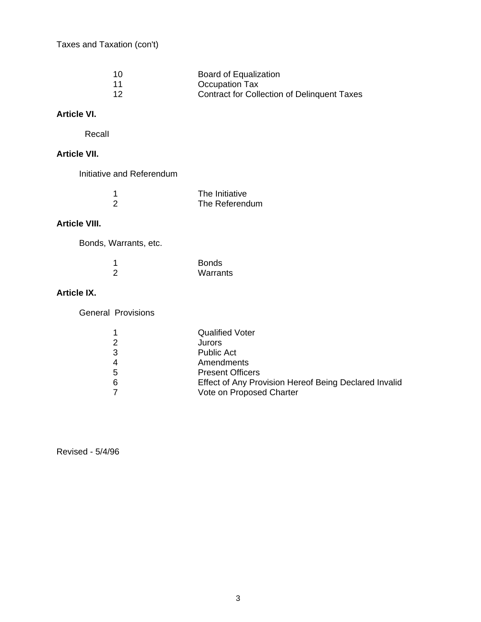Taxes and Taxation (con't)

| 10 | Board of Equalization                              |
|----|----------------------------------------------------|
|    | Occupation Tax                                     |
| 12 | <b>Contract for Collection of Delinquent Taxes</b> |

# **Article VI.**

RecalI

## **Article VII.**

Initiative and Referendum

| The Initiative |
|----------------|
| The Referendum |

# **Article VIII.**

Bonds, Warrants, etc.

| <b>Bonds</b> |
|--------------|
| Warrants     |

## **Article IX.**

General Provisions

| <b>Qualified Voter</b>                                |
|-------------------------------------------------------|
| Jurors                                                |
| <b>Public Act</b>                                     |
| Amendments                                            |
| <b>Present Officers</b>                               |
| Effect of Any Provision Hereof Being Declared Invalid |
| Vote on Proposed Charter                              |
|                                                       |

Revised - 5/4/96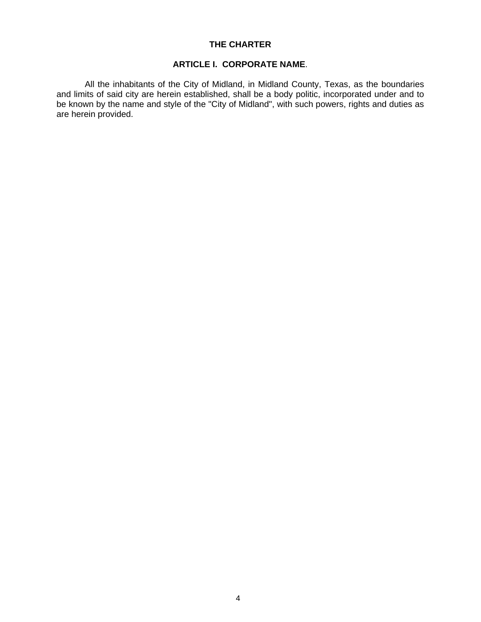#### **THE CHARTER**

#### **ARTICLE I. CORPORATE NAME**.

 All the inhabitants of the City of Midland, in Midland County, Texas, as the boundaries and limits of said city are herein established, shall be a body politic, incorporated under and to be known by the name and style of the "City of Midland", with such powers, rights and duties as are herein provided.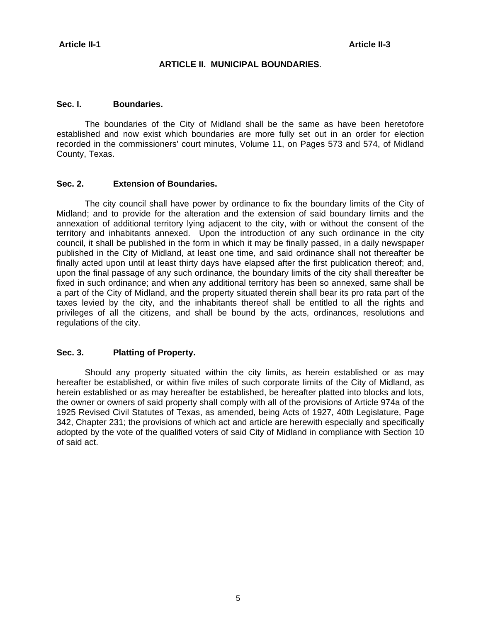#### **ARTICLE II. MUNICIPAL BOUNDARIES**.

#### **Sec. I. Boundaries.**

 The boundaries of the City of Midland shall be the same as have been heretofore established and now exist which boundaries are more fully set out in an order for election recorded in the commissioners' court minutes, Volume 11, on Pages 573 and 574, of Midland County, Texas.

#### **Sec. 2. Extension of Boundaries.**

 The city council shall have power by ordinance to fix the boundary limits of the City of Midland; and to provide for the alteration and the extension of said boundary Iimits and the annexation of additional territory lying adjacent to the city, with or without the consent of the territory and inhabitants annexed. Upon the introduction of any such ordinance in the city council, it shall be published in the form in which it may be finally passed, in a daily newspaper published in the City of Midland, at least one time, and said ordinance shall not thereafter be finally acted upon until at least thirty days have elapsed after the first publication thereof; and, upon the final passage of any such ordinance, the boundary limits of the city shall thereafter be fixed in such ordinance; and when any additional territory has been so annexed, same shall be a part of the City of Midland, and the property situated therein shall bear its pro rata part of the taxes levied by the city, and the inhabitants thereof shall be entitled to all the rights and privileges of all the citizens, and shall be bound by the acts, ordinances, resolutions and regulations of the city.

#### **Sec. 3. Platting of Property.**

 Should any property situated within the city limits, as herein established or as may hereafter be established, or within five miles of such corporate Iimits of the City of Midland, as herein established or as may hereafter be established, be hereafter platted into blocks and lots, the owner or owners of said property shalI comply with alI of the provisions of Article 974a of the 1925 Revised Civil Statutes of Texas, as amended, being Acts of 1927, 40th Legislature, Page 342, Chapter 231; the provisions of which act and article are herewith especially and specifically adopted by the vote of the qualified voters of said City of Midland in compliance with Section 10 of said act.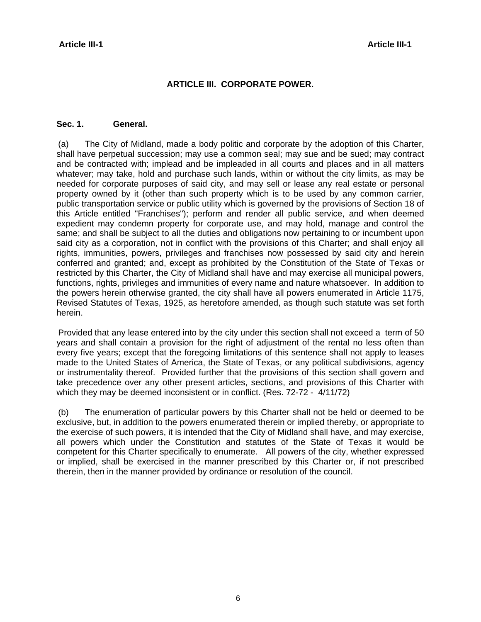### **ARTICLE III. CORPORATE POWER.**

#### **Sec. 1. General.**

 (a) The City of Midland, made a body politic and corporate by the adoption of this Charter, shall have perpetual succession; may use a common seal; may sue and be sued; may contract and be contracted with; implead and be impleaded in all courts and places and in all matters whatever; may take, hold and purchase such lands, within or without the city limits, as may be needed for corporate purposes of said city, and may sell or lease any real estate or personal property owned by it (other than such property which is to be used by any common carrier, public transportation service or public utility which is governed by the provisions of Section 18 of this Article entitled "Franchises"); perform and render all public service, and when deemed expedient may condemn property for corporate use, and may hold, manage and control the same; and shall be subject to all the duties and obligations now pertaining to or incumbent upon said city as a corporation, not in conflict with the provisions of this Charter; and shall enjoy all rights, immunities, powers, privileges and franchises now possessed by said city and herein conferred and granted; and, except as prohibited by the Constitution of the State of Texas or restricted by this Charter, the City of Midland shall have and may exercise all municipal powers, functions, rights, privileges and immunities of every name and nature whatsoever. In addition to the powers herein otherwise granted, the city shall have all powers enumerated in Article 1175, Revised Statutes of Texas, 1925, as heretofore amended, as though such statute was set forth herein.

 Provided that any lease entered into by the city under this section shall not exceed a term of 50 years and shall contain a provision for the right of adjustment of the rental no less often than every five years; except that the foregoing limitations of this sentence shall not apply to leases made to the United States of America, the State of Texas, or any political subdivisions, agency or instrumentality thereof. Provided further that the provisions of this section shall govern and take precedence over any other present articles, sections, and provisions of this Charter with which they may be deemed inconsistent or in conflict. (Res. 72-72 - 4/11/72)

 (b) The enumeration of particular powers by this Charter shall not be held or deemed to be exclusive, but, in addition to the powers enumerated therein or implied thereby, or appropriate to the exercise of such powers, it is intended that the City of Midland shall have, and may exercise, all powers which under the Constitution and statutes of the State of Texas it would be competent for this Charter specifically to enumerate. All powers of the city, whether expressed or implied, shall be exercised in the manner prescribed by this Charter or, if not prescribed therein, then in the manner provided by ordinance or resolution of the council.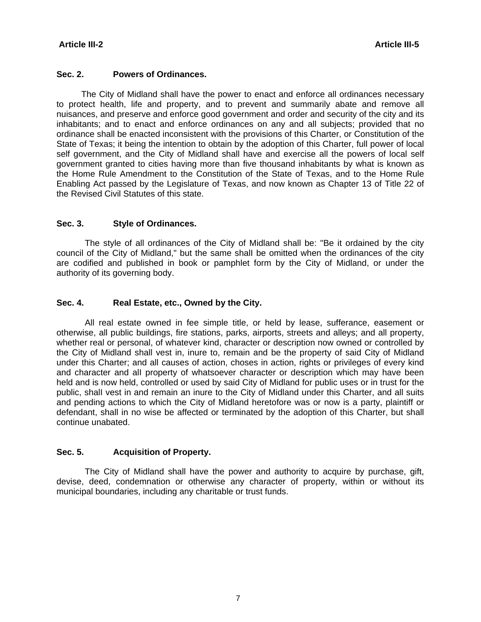### **Sec. 2. Powers of Ordinances.**

 The City of Midland shall have the power to enact and enforce all ordinances necessary to protect health, life and property, and to prevent and summarily abate and remove all nuisances, and preserve and enforce good government and order and security of the city and its inhabitants; and to enact and enforce ordinances on any and all subjects; provided that no ordinance shall be enacted inconsistent with the provisions of this Charter, or Constitution of the State of Texas; it being the intention to obtain by the adoption of this Charter, full power of local self government, and the City of Midland shall have and exercise all the powers of local self government granted to cities having more than five thousand inhabitants by what is known as the Home Rule Amendment to the Constitution of the State of Texas, and to the Home Rule Enabling Act passed by the Legislature of Texas, and now known as Chapter 13 of Title 22 of the Revised Civil Statutes of this state.

### **Sec. 3. Style of Ordinances.**

 The style of all ordinances of the City of Midland shall be: "Be it ordained by the city council of the City of Midland," but the same shalI be omitted when the ordinances of the city are codified and published in book or pamphlet form by the City of Midland, or under the authority of its governing body.

### **Sec. 4. Real Estate, etc., Owned by the City.**

 All real estate owned in fee simple title, or held by lease, sufferance, easement or otherwise, all public buildings, fire stations, parks, airports, streets and alleys; and all property, whether real or personal, of whatever kind, character or description now owned or controlled by the City of Midland shall vest in, inure to, remain and be the property of said City of Midland under this Charter; and all causes of action, choses in action, rights or privileges of every kind and character and alI property of whatsoever character or description which may have been held and is now held, controlled or used by said City of Midland for public uses or in trust for the public, shalI vest in and remain an inure to the City of Midland under this Charter, and all suits and pending actions to which the City of Midland heretofore was or now is a party, plaintiff or defendant, shall in no wise be affected or terminated by the adoption of this Charter, but shall continue unabated.

### **Sec. 5. Acquisition of Property.**

 The City of Midland shall have the power and authority to acquire by purchase, gift, devise, deed, condemnation or otherwise any character of property, within or without its municipal boundaries, including any charitable or trust funds.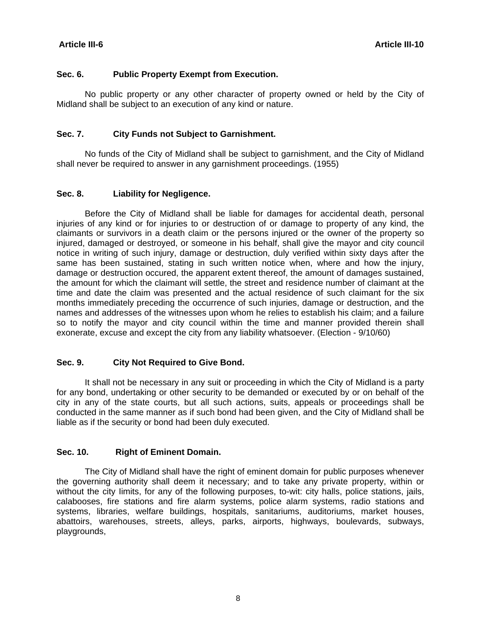#### **Sec. 6. Public Property Exempt from Execution.**

 No public property or any other character of property owned or held by the City of Midland shall be subject to an execution of any kind or nature.

#### **Sec. 7. City Funds not Subject to Garnishment.**

 No funds of the City of Midland shall be subject to garnishment, and the City of Midland shall never be required to answer in any garnishment proceedings. (1955)

#### **Sec. 8. Liability for Negligence.**

 Before the City of Midland shall be liable for damages for accidental death, personal injuries of any kind or for injuries to or destruction of or damage to property of any kind, the claimants or survivors in a death claim or the persons injured or the owner of the property so injured, damaged or destroyed, or someone in his behalf, shall give the mayor and city council notice in writing of such injury, damage or destruction, duly verified within sixty days after the same has been sustained, stating in such written notice when, where and how the injury, damage or destruction occured, the apparent extent thereof, the amount of damages sustained, the amount for which the claimant will settle, the street and residence number of claimant at the time and date the claim was presented and the actual residence of such claimant for the six months immediately preceding the occurrence of such injuries, damage or destruction, and the names and addresses of the witnesses upon whom he relies to establish his claim; and a failure so to notify the mayor and city council within the time and manner provided therein shall exonerate, excuse and except the city from any liability whatsoever. (Election - 9/10/60)

### **Sec. 9. City Not Required to Give Bond.**

 It shall not be necessary in any suit or proceeding in which the City of Midland is a party for any bond, undertaking or other security to be demanded or executed by or on behalf of the city in any of the state courts, but all such actions, suits, appeals or proceedings shall be conducted in the same manner as if such bond had been given, and the City of Midland shall be liable as if the security or bond had been duly executed.

#### **Sec. 10. Right of Eminent Domain.**

 The City of Midland shall have the right of eminent domain for public purposes whenever the governing authority shall deem it necessary; and to take any private property, within or without the city limits, for any of the following purposes, to-wit: city halls, police stations, jails, calabooses, fire stations and fire alarm systems, police alarm systems, radio stations and systems, libraries, welfare buildings, hospitals, sanitariums, auditoriums, market houses, abattoirs, warehouses, streets, alleys, parks, airports, highways, boulevards, subways, playgrounds,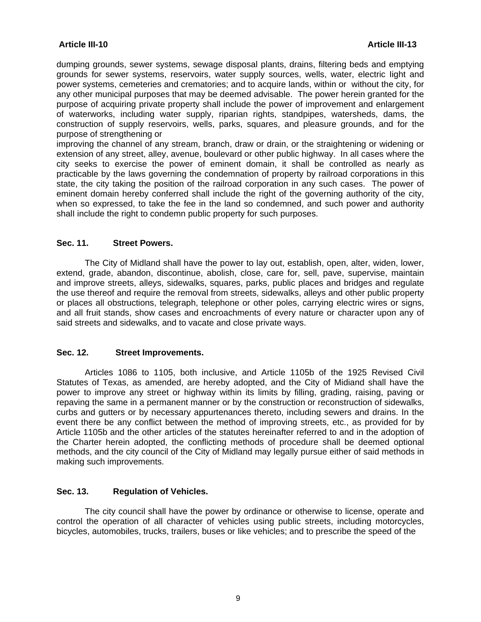dumping grounds, sewer systems, sewage disposal plants, drains, filtering beds and emptying grounds for sewer systems, reservoirs, water supply sources, wells, water, electric Iight and power systems, cemeteries and crematories; and to acquire lands, within or without the city, for any other municipal purposes that may be deemed advisable. The power herein granted for the purpose of acquiring private property shall include the power of improvement and enlargement of waterworks, including water supply, riparian rights, standpipes, watersheds, dams, the construction of supply reservoirs, wells, parks, squares, and pleasure grounds, and for the purpose of strengthening or

improving the channel of any stream, branch, draw or drain, or the straightening or widening or extension of any street, alley, avenue, boulevard or other public highway. In all cases where the city seeks to exercise the power of eminent domain, it shall be controlled as nearly as practicable by the laws governing the condemnation of property by railroad corporations in this state, the city taking the position of the railroad corporation in any such cases. The power of eminent domain hereby conferred shall include the right of the governing authority of the city, when so expressed, to take the fee in the land so condemned, and such power and authority shalI include the right to condemn public property for such purposes.

#### **Sec. 11. Street Powers.**

 The City of Midland shall have the power to lay out, establish, open, alter, widen, lower, extend, grade, abandon, discontinue, abolish, close, care for, sell, pave, supervise, maintain and improve streets, alleys, sidewalks, squares, parks, public places and bridges and regulate the use thereof and require the removal from streets, sidewalks, alleys and other public property or places all obstructions, telegraph, telephone or other poles, carrying electric wires or signs, and all fruit stands, show cases and encroachments of every nature or character upon any of said streets and sidewalks, and to vacate and close private ways.

### **Sec. 12. Street Improvements.**

 Articles 1086 to 1105, both inclusive, and Article 1105b of the 1925 Revised Civil Statutes of Texas, as amended, are hereby adopted, and the City of Midiand shall have the power to improve any street or highway within its limits by filling, grading, raising, paving or repaving the same in a permanent manner or by the construction or reconstruction of sidewalks, curbs and gutters or by necessary appurtenances thereto, including sewers and drains. In the event there be any conflict between the method of improving streets, etc., as provided for by Article 1105b and the other articles of the statutes hereinafter referred to and in the adoption of the Charter herein adopted, the conflicting methods of procedure shall be deemed optional methods, and the city council of the City of Midland may legally pursue either of said methods in making such improvements.

### **Sec. 13. Regulation of Vehicles.**

 The city council shall have the power by ordinance or otherwise to license, operate and control the operation of all character of vehicles using public streets, including motorcycles, bicycles, automobiles, trucks, trailers, buses or Iike vehicles; and to prescribe the speed of the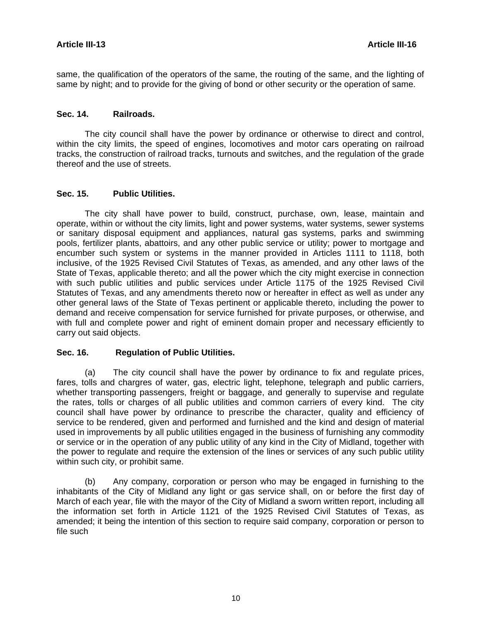same, the qualification of the operators of the same, the routing of the same, and the Iighting of same by night; and to provide for the giving of bond or other security or the operation of same.

#### **Sec. 14. Railroads.**

 The city council shall have the power by ordinance or otherwise to direct and control, within the city limits, the speed of engines, locomotives and motor cars operating on railroad tracks, the construction of railroad tracks, turnouts and switches, and the regulation of the grade thereof and the use of streets.

#### **Sec. 15. Public Utilities.**

 The city shall have power to build, construct, purchase, own, lease, maintain and operate, within or without the city limits, light and power systems, water systems, sewer systems or sanitary disposal equipment and appliances, natural gas systems, parks and swimming pools, fertilizer plants, abattoirs, and any other public service or utility; power to mortgage and encumber such system or systems in the manner provided in Articles 1111 to 1118, both inclusive, of the 1925 Revised Civil Statutes of Texas, as amended, and any other laws of the State of Texas, applicable thereto; and all the power which the city might exercise in connection with such public utilities and public services under Article 1175 of the 1925 Revised Civil Statutes of Texas, and any amendments thereto now or hereafter in effect as well as under any other general laws of the State of Texas pertinent or applicable thereto, including the power to demand and receive compensation for service furnished for private purposes, or otherwise, and with full and complete power and right of eminent domain proper and necessary efficiently to carry out said objects.

### **Sec. 16. Regulation of Public Utilities.**

 (a) The city council shall have the power by ordinance to fix and regulate prices, fares, tolls and chargres of water, gas, electric light, telephone, telegraph and public carriers, whether transporting passengers, freight or baggage, and generally to supervise and regulate the rates, tolls or charges of all public utilities and common carriers of every kind. The city council shall have power by ordinance to prescribe the character, quality and efficiency of service to be rendered, given and performed and furnished and the kind and design of material used in improvements by all public utilities engaged in the business of furnishing any commodity or service or in the operation of any public utility of any kind in the City of Midland, together with the power to regulate and require the extension of the lines or services of any such public utility within such city, or prohibit same.

 (b) Any company, corporation or person who may be engaged in furnishing to the inhabitants of the City of Midland any light or gas service shall, on or before the first day of March of each year, file with the mayor of the City of Midland a sworn written report, including all the information set forth in Article 1121 of the 1925 Revised Civil Statutes of Texas, as amended; it being the intention of this section to require said company, corporation or person to file such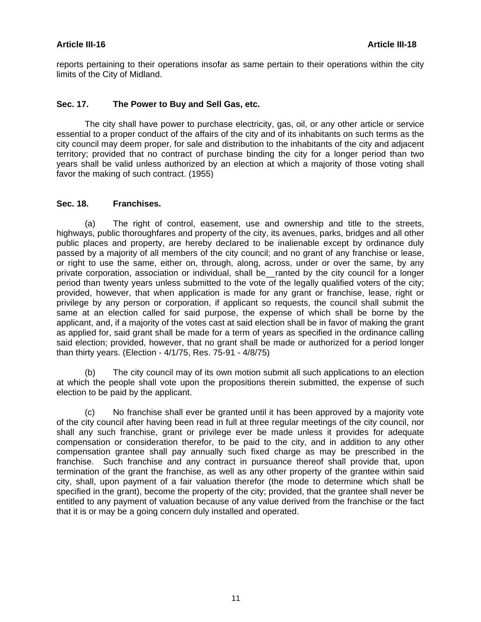#### **Article III-16 Article III-18**

reports pertaining to their operations insofar as same pertain to their operations within the city limits of the City of Midland.

#### **Sec. 17. The Power to Buy and Sell Gas, etc.**

 The city shall have power to purchase electricity, gas, oil, or any other article or service essential to a proper conduct of the affairs of the city and of its inhabitants on such terms as the city council may deem proper, for sale and distribution to the inhabitants of the city and adjacent territory; provided that no contract of purchase binding the city for a longer period than two years shall be valid unless authorized by an election at which a majority of those voting shall favor the making of such contract. (1955)

#### **Sec. 18. Franchises.**

 (a) The right of control, easement, use and ownership and title to the streets, highways, public thoroughfares and property of the city, its avenues, parks, bridges and all other public places and property, are hereby declared to be inalienable except by ordinance duly passed by a majority of all members of the city council; and no grant of any franchise or lease, or right to use the same, either on, through, along, across, under or over the same, by any private corporation, association or individual, shall be\_\_ranted by the city council for a longer period than twenty years unless submitted to the vote of the legally qualified voters of the city; provided, however, that when application is made for any grant or franchise, lease, right or privilege by any person or corporation, if applicant so requests, the council shall submit the same at an election called for said purpose, the expense of which shall be borne by the applicant, and, if a majority of the votes cast at said election shall be in favor of making the grant as applied for, said grant shall be made for a term of years as specified in the ordinance calling said election; provided, however, that no grant shall be made or authorized for a period longer than thirty years. (Election - 4/1/75, Res. 75-91 - 4/8/75)

 (b) The city council may of its own motion submit all such applications to an election at which the people shall vote upon the propositions therein submitted, the expense of such election to be paid by the applicant.

 (c) No franchise shall ever be granted until it has been approved by a majority vote of the city council after having been read in full at three regular meetings of the city council, nor shall any such franchise, grant or privilege ever be made unless it provides for adequate compensation or consideration therefor, to be paid to the city, and in addition to any other compensation grantee shall pay annually such fixed charge as may be prescribed in the franchise. Such franchise and any contract in pursuance thereof shall provide that, upon termination of the grant the franchise, as well as any other property of the grantee within said city, shall, upon payment of a fair valuation therefor (the mode to determine which shall be specified in the grant), become the property of the city; provided, that the grantee shall never be entitled to any payment of valuation because of any value derived from the franchise or the fact that it is or may be a going concern duly installed and operated.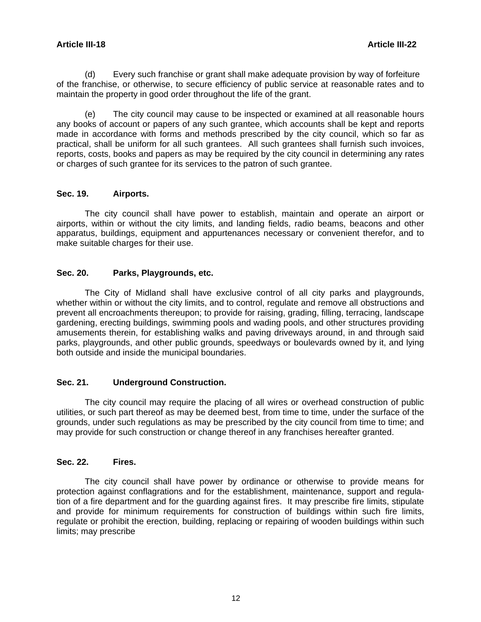(d) Every such franchise or grant shall make adequate provision by way of forfeiture of the franchise, or otherwise, to secure efficiency of public service at reasonable rates and to maintain the property in good order throughout the life of the grant.

 (e) The city council may cause to be inspected or examined at all reasonable hours any books of account or papers of any such grantee, which accounts shall be kept and reports made in accordance with forms and methods prescribed by the city council, which so far as practical, shall be uniform for all such grantees. All such grantees shall furnish such invoices, reports, costs, books and papers as may be required by the city council in determining any rates or charges of such grantee for its services to the patron of such grantee.

#### **Sec. 19. Airports.**

 The city council shall have power to establish, maintain and operate an airport or airports, within or without the city limits, and landing fields, radio beams, beacons and other apparatus, buildings, equipment and appurtenances necessary or convenient therefor, and to make suitable charges for their use.

#### **Sec. 20. Parks, Playgrounds, etc.**

 The City of Midland shall have exclusive control of all city parks and playgrounds, whether within or without the city limits, and to control, regulate and remove all obstructions and prevent all encroachments thereupon; to provide for raising, grading, filling, terracing, landscape gardening, erecting buildings, swimming pools and wading pools, and other structures providing amusements therein, for establishing walks and paving driveways around, in and through said parks, playgrounds, and other public grounds, speedways or boulevards owned by it, and lying both outside and inside the municipal boundaries.

### **Sec. 21. Underground Construction.**

 The city council may require the placing of all wires or overhead construction of public utilities, or such part thereof as may be deemed best, from time to time, under the surface of the grounds, under such regulations as may be prescribed by the city council from time to time; and may provide for such construction or change thereof in any franchises hereafter granted.

### **Sec. 22. Fires.**

 The city council shall have power by ordinance or otherwise to provide means for protection against conflagrations and for the establishment, maintenance, support and regulation of a fire department and for the guarding against fires. It may prescribe fire limits, stipulate and provide for minimum requirements for construction of buildings within such fire limits, regulate or prohibit the erection, building, replacing or repairing of wooden buildings within such limits; may prescribe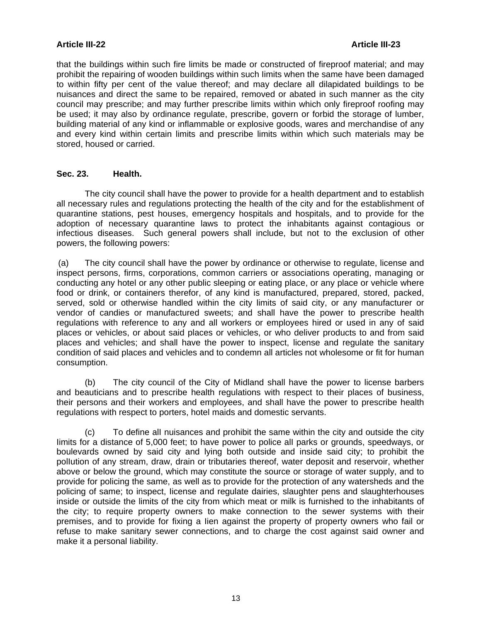### **Article III-22 Article III-23**

that the buildings within such fire limits be made or constructed of fireproof material; and may prohibit the repairing of wooden buildings within such Iimits when the same have been damaged to within fifty per cent of the value thereof; and may declare all dilapidated buildings to be nuisances and direct the same to be repaired, removed or abated in such manner as the city council may prescribe; and may further prescribe limits within which only fireproof roofing may be used; it may also by ordinance regulate, prescribe, govern or forbid the storage of lumber, building material of any kind or inflammable or explosive goods, wares and merchandise of any and every kind within certain limits and prescribe limits within which such materials may be stored, housed or carried.

### **Sec. 23. Health.**

 The city council shall have the power to provide for a health department and to establish all necessary rules and regulations protecting the health of the city and for the establishment of quarantine stations, pest houses, emergency hospitals and hospitals, and to provide for the adoption of necessary quarantine laws to protect the inhabitants against contagious or infectious diseases. Such general powers shall include, but not to the exclusion of other powers, the following powers:

 (a) The city council shall have the power by ordinance or otherwise to regulate, license and inspect persons, firms, corporations, common carriers or associations operating, managing or conducting any hotel or any other public sleeping or eating place, or any place or vehicle where food or drink, or containers therefor, of any kind is manufactured, prepared, stored, packed, served, sold or otherwise handled within the city limits of said city, or any manufacturer or vendor of candies or manufactured sweets; and shall have the power to prescribe health regulations with reference to any and all workers or employees hired or used in any of said places or vehicles, or about said places or vehicles, or who deliver products to and from said places and vehicles; and shall have the power to inspect, license and regulate the sanitary condition of said places and vehicles and to condemn all articles not wholesome or fit for human consumption.

 (b) The city council of the City of Midland shall have the power to license barbers and beauticians and to prescribe health regulations with respect to their places of business, their persons and their workers and employees, and shall have the power to prescribe health regulations with respect to porters, hotel maids and domestic servants.

 (c) To define alI nuisances and prohibit the same within the city and outside the city Iimits for a distance of 5,000 feet; to have power to police alI parks or grounds, speedways, or boulevards owned by said city and lying both outside and inside said city; to prohibit the polIution of any stream, draw, drain or tributaries thereof, water deposit and reservoir, whether above or below the ground, which may constitute the source or storage of water supply, and to provide for policing the same, as well as to provide for the protection of any watersheds and the policing of same; to inspect, Iicense and regulate dairies, slaughter pens and slaughterhouses inside or outside the limits of the city from which meat or milk is furnished to the inhabitants of the city; to require property owners to make connection to the sewer systems with their premises, and to provide for fixing a Iien against the property of property owners who fail or refuse to make sanitary sewer connections, and to charge the cost against said owner and make it a personal Iiability.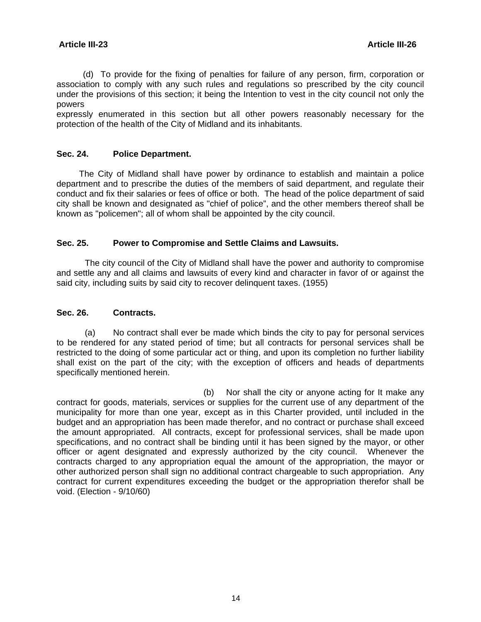(d) To provide for the fixing of penalties for failure of any person, firm, corporation or association to comply with any such rules and regulations so prescribed by the city council under the provisions of this section; it being the Intention to vest in the city council not only the powers

expressly enumerated in this section but all other powers reasonably necessary for the protection of the health of the City of Midland and its inhabitants.

#### **Sec. 24. Police Department.**

 The City of Midland shall have power by ordinance to establish and maintain a police department and to prescribe the duties of the members of said department, and regulate their conduct and fix their salaries or fees of office or both. The head of the police department of said city shall be known and designated as "chief of police", and the other members thereof shall be known as "policemen"; all of whom shall be appointed by the city council.

#### **Sec. 25. Power to Compromise and Settle Claims and Lawsuits.**

 The city council of the City of Midland shall have the power and authority to compromise and settle any and all claims and lawsuits of every kind and character in favor of or against the said city, including suits by said city to recover delinquent taxes. (1955)

#### **Sec. 26. Contracts.**

 (a) No contract shall ever be made which binds the city to pay for personal services to be rendered for any stated period of time; but all contracts for personal services shall be restricted to the doing of some particular act or thing, and upon its completion no further liability shall exist on the part of the city; with the exception of officers and heads of departments specifically mentioned herein.

(b) Nor shall the city or anyone acting for It make any contract for goods, materials, services or supplies for the current use of any department of the municipality for more than one year, except as in this Charter provided, until included in the budget and an appropriation has been made therefor, and no contract or purchase shall exceed the amount appropriated. All contracts, except for professional services, shall be made upon specifications, and no contract shall be binding until it has been signed by the mayor, or other officer or agent designated and expressly authorized by the city council. Whenever the contracts charged to any appropriation equal the amount of the appropriation, the mayor or other authorized person shall sign no additional contract chargeable to such appropriation. Any contract for current expenditures exceeding the budget or the appropriation therefor shall be void. (Election - 9/10/60)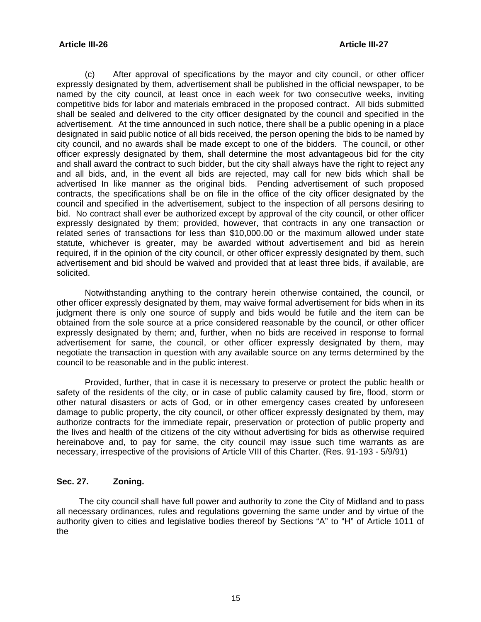#### **Article III-26 Article III-27**

 (c) After approval of specifications by the mayor and city council, or other officer expressly designated by them, advertisement shall be published in the official newspaper, to be named by the city council, at least once in each week for two consecutive weeks, inviting competitive bids for labor and materials embraced in the proposed contract. All bids submitted shall be sealed and delivered to the city officer designated by the council and specified in the advertisement. At the time announced in such notice, there shall be a public opening in a place designated in said public notice of all bids received, the person opening the bids to be named by city council, and no awards shall be made except to one of the bidders. The council, or other officer expressly designated by them, shall determine the most advantageous bid for the city and shall award the contract to such bidder, but the city shall always have the right to reject any and all bids, and, in the event all bids are rejected, may call for new bids which shall be advertised In like manner as the original bids. Pending advertisement of such proposed contracts, the specifications shall be on file in the office of the city officer designated by the council and specified in the advertisement, subject to the inspection of all persons desiring to bid. No contract shall ever be authorized except by approval of the city council, or other officer expressly designated by them; provided, however, that contracts in any one transaction or related series of transactions for less than \$10,000.00 or the maximum allowed under state statute, whichever is greater, may be awarded without advertisement and bid as herein required, if in the opinion of the city council, or other officer expressly designated by them, such advertisement and bid should be waived and provided that at least three bids, if available, are solicited.

 Notwithstanding anything to the contrary herein otherwise contained, the council, or other officer expressly designated by them, may waive formal advertisement for bids when in its judgment there is only one source of supply and bids would be futile and the item can be obtained from the sole source at a price considered reasonable by the council, or other officer expressly designated by them; and, further, when no bids are received in response to formal advertisement for same, the council, or other officer expressly designated by them, may negotiate the transaction in question with any available source on any terms determined by the council to be reasonable and in the public interest.

 Provided, further, that in case it is necessary to preserve or protect the public health or safety of the residents of the city, or in case of public calamity caused by fire, flood, storm or other natural disasters or acts of God, or in other emergency cases created by unforeseen damage to public property, the city council, or other officer expressly designated by them, may authorize contracts for the immediate repair, preservation or protection of public property and the lives and health of the citizens of the city without advertising for bids as otherwise required hereinabove and, to pay for same, the city council may issue such time warrants as are necessary, irrespective of the provisions of Article VIII of this Charter. (Res. 91-193 - 5/9/91)

### **Sec. 27. Zoning.**

 The city council shall have full power and authority to zone the City of Midland and to pass all necessary ordinances, rules and regulations governing the same under and by virtue of the authority given to cities and legislative bodies thereof by Sections "A" to "H" of Article 1011 of the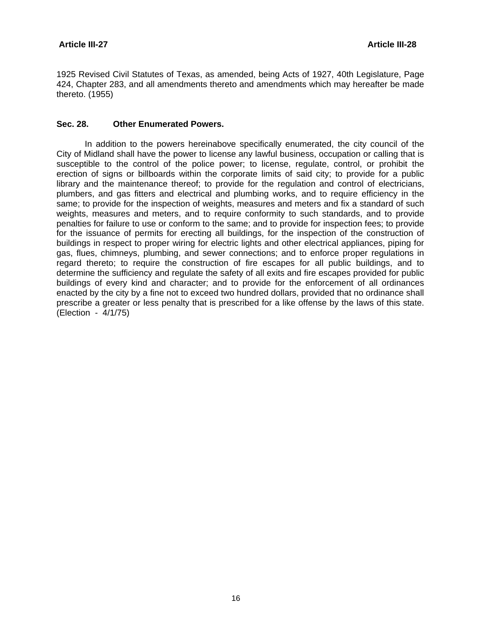1925 Revised Civil Statutes of Texas, as amended, being Acts of 1927, 40th Legislature, Page 424, Chapter 283, and all amendments thereto and amendments which may hereafter be made thereto. (1955)

#### **Sec. 28. Other Enumerated Powers.**

 In addition to the powers hereinabove specifically enumerated, the city council of the City of Midland shall have the power to license any lawful business, occupation or calling that is susceptible to the control of the police power; to license, regulate, control, or prohibit the erection of signs or billboards within the corporate limits of said city; to provide for a public library and the maintenance thereof; to provide for the regulation and control of electricians, plumbers, and gas fitters and electrical and plumbing works, and to require efficiency in the same; to provide for the inspection of weights, measures and meters and fix a standard of such weights, measures and meters, and to require conformity to such standards, and to provide penalties for failure to use or conform to the same; and to provide for inspection fees; to provide for the issuance of permits for erecting all buildings, for the inspection of the construction of buildings in respect to proper wiring for electric lights and other electrical appliances, piping for gas, flues, chimneys, plumbing, and sewer connections; and to enforce proper regulations in regard thereto; to require the construction of fire escapes for all public buildings, and to determine the sufficiency and regulate the safety of all exits and fire escapes provided for public buildings of every kind and character; and to provide for the enforcement of all ordinances enacted by the city by a fine not to exceed two hundred dollars, provided that no ordinance shall prescribe a greater or less penalty that is prescribed for a like offense by the laws of this state. (Election - 4/1/75)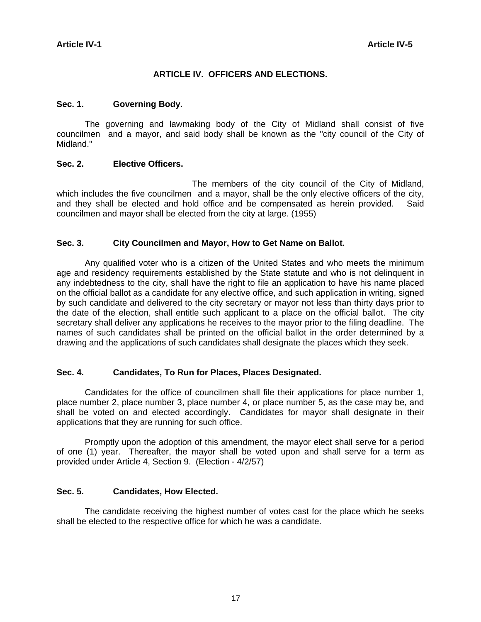### **ARTICLE IV. OFFICERS AND ELECTIONS.**

#### **Sec. 1. Governing Body.**

 The governing and lawmaking body of the City of Midland shall consist of five councilmen and a mayor, and said body shall be known as the "city council of the City of Midland."

#### **Sec. 2. Elective Officers.**

The members of the city council of the City of Midland, which includes the five councilmen and a mayor, shall be the only elective officers of the city, and they shall be elected and hold office and be compensated as herein provided. Said councilmen and mayor shall be elected from the city at large. (1955)

#### **Sec. 3. City Councilmen and Mayor, How to Get Name on Ballot.**

 Any qualified voter who is a citizen of the United States and who meets the minimum age and residency requirements established by the State statute and who is not delinquent in any indebtedness to the city, shall have the right to file an application to have his name placed on the official ballot as a candidate for any elective office, and such application in writing, signed by such candidate and delivered to the city secretary or mayor not less than thirty days prior to the date of the election, shall entitle such applicant to a place on the official ballot. The city secretary shall deliver any applications he receives to the mayor prior to the filing deadline. The names of such candidates shall be printed on the official ballot in the order determined by a drawing and the applications of such candidates shall designate the places which they seek.

### **Sec. 4. Candidates, To Run for Places, Places Designated.**

 Candidates for the office of councilmen shall file their applications for place number 1, place number 2, place number 3, place number 4, or place number 5, as the case may be, and shall be voted on and elected accordingly. Candidates for mayor shall designate in their applications that they are running for such office.

 Promptly upon the adoption of this amendment, the mayor elect shall serve for a period of one (1) year. Thereafter, the mayor shall be voted upon and shall serve for a term as provided under Article 4, Section 9. (Election - 4/2/57)

### **Sec. 5. Candidates, How Elected.**

 The candidate receiving the highest number of votes cast for the place which he seeks shall be elected to the respective office for which he was a candidate.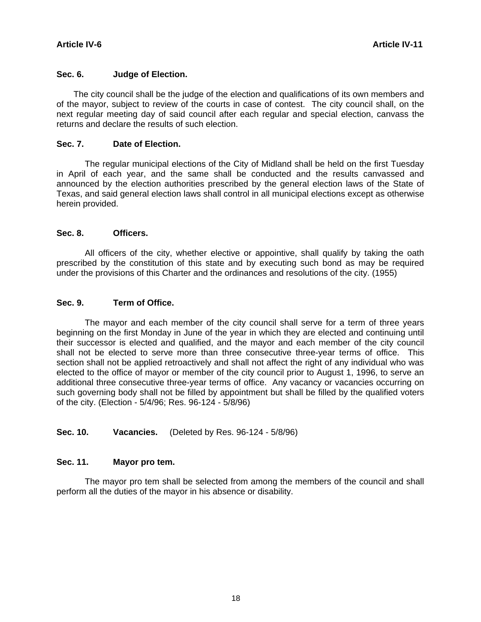#### **Sec. 6. Judge of Election.**

 The city council shall be the judge of the election and qualifications of its own members and of the mayor, subject to review of the courts in case of contest. The city council shall, on the next regular meeting day of said council after each regular and special election, canvass the returns and declare the results of such election.

#### **Sec. 7. Date of Election.**

 The regular municipal elections of the City of Midland shall be held on the first Tuesday in April of each year, and the same shall be conducted and the results canvassed and announced by the election authorities prescribed by the general election laws of the State of Texas, and said general election laws shall control in all municipal elections except as otherwise herein provided.

#### **Sec. 8. Officers.**

 All officers of the city, whether elective or appointive, shall qualify by taking the oath prescribed by the constitution of this state and by executing such bond as may be required under the provisions of this Charter and the ordinances and resolutions of the city. (1955)

#### **Sec. 9. Term of Office.**

 The mayor and each member of the city council shall serve for a term of three years beginning on the first Monday in June of the year in which they are elected and continuing until their successor is elected and qualified, and the mayor and each member of the city council shall not be elected to serve more than three consecutive three-year terms of office. This section shall not be applied retroactively and shall not affect the right of any individual who was elected to the office of mayor or member of the city council prior to August 1, 1996, to serve an additional three consecutive three-year terms of office. Any vacancy or vacancies occurring on such governing body shall not be filled by appointment but shall be filled by the qualified voters of the city. (Election - 5/4/96; Res. 96-124 - 5/8/96)

### **Sec. 10. Vacancies.** (Deleted by Res. 96-124 - 5/8/96)

#### **Sec. 11. Mayor pro tem.**

 The mayor pro tem shall be selected from among the members of the council and shall perform all the duties of the mayor in his absence or disability.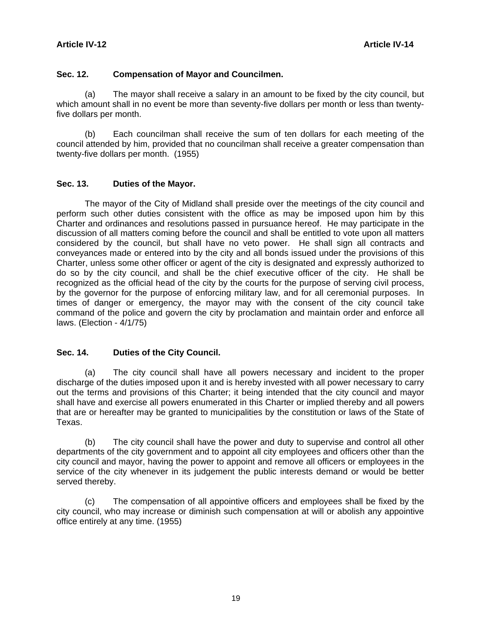#### **Sec. 12. Compensation of Mayor and Councilmen.**

 (a) The mayor shall receive a salary in an amount to be fixed by the city council, but which amount shall in no event be more than seventy-five dollars per month or less than twentyfive dollars per month.

 (b) Each councilman shall receive the sum of ten dollars for each meeting of the council attended by him, provided that no councilman shall receive a greater compensation than twenty-five dollars per month. (1955)

#### **Sec. 13. Duties of the Mayor.**

 The mayor of the City of Midland shall preside over the meetings of the city council and perform such other duties consistent with the office as may be imposed upon him by this Charter and ordinances and resolutions passed in pursuance hereof. He may participate in the discussion of all matters coming before the council and shall be entitled to vote upon all matters considered by the council, but shall have no veto power. He shall sign all contracts and conveyances made or entered into by the city and all bonds issued under the provisions of this Charter, unless some other officer or agent of the city is designated and expressly authorized to do so by the city council, and shall be the chief executive officer of the city. He shall be recognized as the official head of the city by the courts for the purpose of serving civil process, by the governor for the purpose of enforcing military law, and for all ceremonial purposes. In times of danger or emergency, the mayor may with the consent of the city council take command of the police and govern the city by proclamation and maintain order and enforce all laws. (Election - 4/1/75)

### **Sec. 14. Duties of the City Council.**

 (a) The city council shall have all powers necessary and incident to the proper discharge of the duties imposed upon it and is hereby invested with all power necessary to carry out the terms and provisions of this Charter; it being intended that the city council and mayor shall have and exercise all powers enumerated in this Charter or implied thereby and all powers that are or hereafter may be granted to municipalities by the constitution or laws of the State of Texas.

 (b) The city council shall have the power and duty to supervise and control all other departments of the city government and to appoint all city employees and officers other than the city council and mayor, having the power to appoint and remove all officers or employees in the service of the city whenever in its judgement the public interests demand or would be better served thereby.

 (c) The compensation of all appointive officers and employees shall be fixed by the city council, who may increase or diminish such compensation at will or abolish any appointive office entirely at any time. (1955)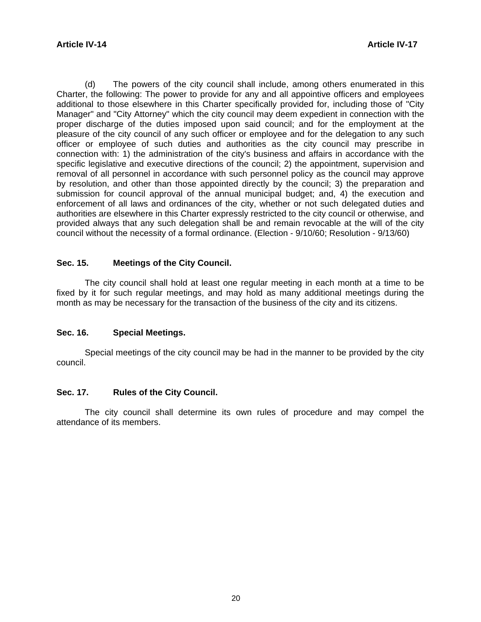(d) The powers of the city council shall include, among others enumerated in this Charter, the following: The power to provide for any and all appointive officers and employees additional to those elsewhere in this Charter specifically provided for, including those of "City Manager" and "City Attorney" which the city council may deem expedient in connection with the proper discharge of the duties imposed upon said council; and for the employment at the pleasure of the city council of any such officer or employee and for the delegation to any such officer or employee of such duties and authorities as the city council may prescribe in connection with: 1) the administration of the city's business and affairs in accordance with the specific legislative and executive directions of the council; 2) the appointment, supervision and removal of all personnel in accordance with such personnel policy as the council may approve by resolution, and other than those appointed directly by the council; 3) the preparation and submission for council approval of the annual municipal budget; and, 4) the execution and enforcement of all laws and ordinances of the city, whether or not such delegated duties and authorities are elsewhere in this Charter expressly restricted to the city council or otherwise, and provided always that any such delegation shall be and remain revocable at the will of the city council without the necessity of a formal ordinance. (Election - 9/10/60; Resolution - 9/13/60)

#### **Sec. 15. Meetings of the City Council.**

 The city council shall hold at least one regular meeting in each month at a time to be fixed by it for such regular meetings, and may hold as many additional meetings during the month as may be necessary for the transaction of the business of the city and its citizens.

#### **Sec. 16. Special Meetings.**

 Special meetings of the city council may be had in the manner to be provided by the city council.

#### **Sec. 17. Rules of the City Council.**

 The city council shall determine its own rules of procedure and may compel the attendance of its members.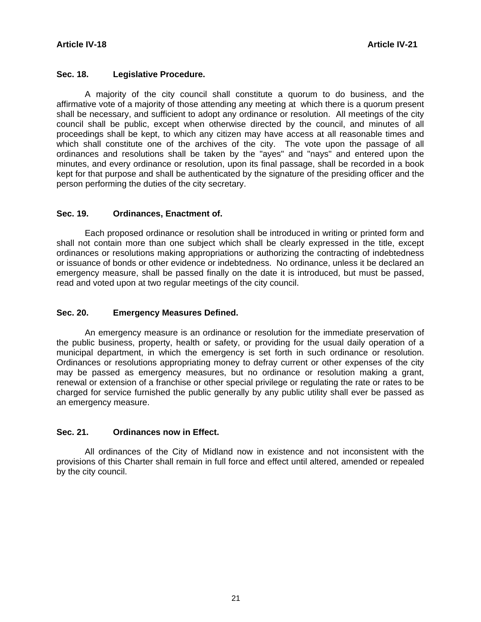#### **Sec. 18. Legislative Procedure.**

 A majority of the city council shall constitute a quorum to do business, and the affirmative vote of a majority of those attending any meeting at which there is a quorum present shall be necessary, and sufficient to adopt any ordinance or resolution. All meetings of the city council shall be public, except when otherwise directed by the council, and minutes of all proceedings shall be kept, to which any citizen may have access at all reasonable times and which shall constitute one of the archives of the city. The vote upon the passage of all ordinances and resolutions shall be taken by the "ayes" and "nays" and entered upon the minutes, and every ordinance or resolution, upon its final passage, shall be recorded in a book kept for that purpose and shall be authenticated by the signature of the presiding officer and the person performing the duties of the city secretary.

### **Sec. 19. Ordinances, Enactment of.**

 Each proposed ordinance or resolution shall be introduced in writing or printed form and shall not contain more than one subject which shall be clearly expressed in the title, except ordinances or resolutions making appropriations or authorizing the contracting of indebtedness or issuance of bonds or other evidence or indebtedness. No ordinance, unless it be declared an emergency measure, shall be passed finally on the date it is introduced, but must be passed, read and voted upon at two regular meetings of the city council.

#### **Sec. 20. Emergency Measures Defined.**

 An emergency measure is an ordinance or resolution for the immediate preservation of the public business, property, health or safety, or providing for the usual daily operation of a municipal department, in which the emergency is set forth in such ordinance or resolution. Ordinances or resolutions appropriating money to defray current or other expenses of the city may be passed as emergency measures, but no ordinance or resolution making a grant, renewal or extension of a franchise or other special privilege or regulating the rate or rates to be charged for service furnished the public generally by any public utility shall ever be passed as an emergency measure.

### **Sec. 21. Ordinances now in Effect.**

 All ordinances of the City of Midland now in existence and not inconsistent with the provisions of this Charter shall remain in full force and effect until altered, amended or repealed by the city council.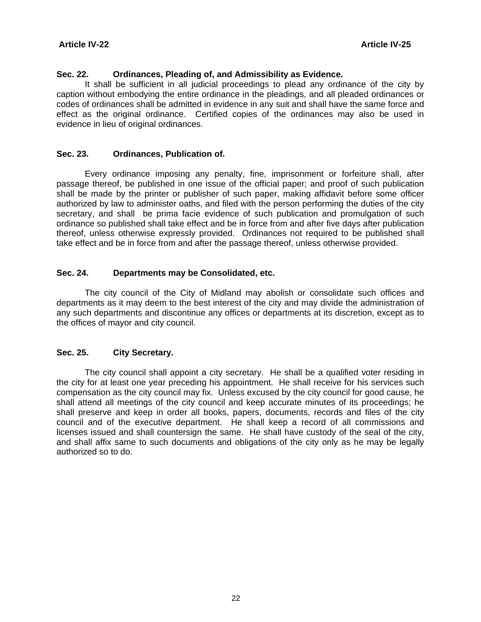### **Sec. 22. Ordinances, Pleading of, and Admissibility as Evidence.**

 It shall be sufficient in all judicial proceedings to plead any ordinance of the city by caption without embodying the entire ordinance in the pleadings, and all pleaded ordinances or codes of ordinances shall be admitted in evidence in any suit and shall have the same force and effect as the original ordinance. Certified copies of the ordinances may also be used in evidence in lieu of original ordinances.

#### **Sec. 23. Ordinances, Publication of.**

 Every ordinance imposing any penalty, fine, imprisonment or forfeiture shall, after passage thereof, be published in one issue of the official paper; and proof of such publication shall be made by the printer or publisher of such paper, making affidavit before some officer authorized by law to administer oaths, and filed with the person performing the duties of the city secretary, and shall be prima facie evidence of such publication and promulgation of such ordinance so published shall take effect and be in force from and after five days after publication thereof, unless otherwise expressly provided. Ordinances not required to be published shall take effect and be in force from and after the passage thereof, unless otherwise provided.

#### **Sec. 24. Departments may be Consolidated, etc.**

 The city council of the City of Midland may abolish or consolidate such offices and departments as it may deem to the best interest of the city and may divide the administration of any such departments and discontinue any offices or departments at its discretion, except as to the offices of mayor and city council.

### **Sec. 25. City Secretary.**

 The city council shall appoint a city secretary. He shall be a qualified voter residing in the city for at least one year preceding his appointment. He shall receive for his services such compensation as the city council may fix. Unless excused by the city council for good cause, he shall attend all meetings of the city council and keep accurate minutes of its proceedings; he shall preserve and keep in order all books, papers, documents, records and files of the city council and of the executive department. He shall keep a record of all commissions and licenses issued and shall countersign the same. He shall have custody of the seal of the city, and shall affix same to such documents and obligations of the city only as he may be legally authorized so to do.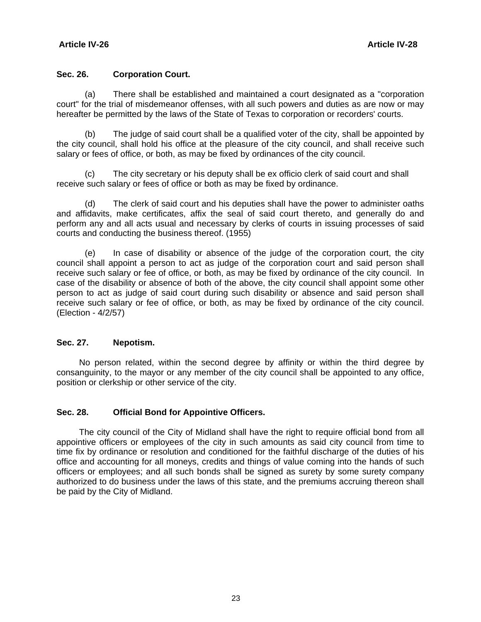### **Sec. 26. Corporation Court.**

 (a) There shall be established and maintained a court designated as a "corporation court" for the trial of misdemeanor offenses, with all such powers and duties as are now or may hereafter be permitted by the laws of the State of Texas to corporation or recorders' courts.

 (b) The judge of said court shall be a qualified voter of the city, shall be appointed by the city council, shall hold his office at the pleasure of the city council, and shall receive such salary or fees of office, or both, as may be fixed by ordinances of the city council.

(c) The city secretary or his deputy shall be ex officio clerk of said court and shall receive such salary or fees of office or both as may be fixed by ordinance.

 (d) The clerk of said court and his deputies shalI have the power to administer oaths and affidavits, make certificates, affix the seal of said court thereto, and generally do and perform any and all acts usual and necessary by clerks of courts in issuing processes of said courts and conducting the business thereof. (1955)

 (e) In case of disability or absence of the judge of the corporation court, the city council shall appoint a person to act as judge of the corporation court and said person shall receive such salary or fee of office, or both, as may be fixed by ordinance of the city council. In case of the disability or absence of both of the above, the city council shall appoint some other person to act as judge of said court during such disability or absence and said person shall receive such salary or fee of office, or both, as may be fixed by ordinance of the city council. (Election - 4/2/57)

#### **Sec. 27. Nepotism.**

 No person related, within the second degree by affinity or within the third degree by consanguinity, to the mayor or any member of the city council shall be appointed to any office, position or clerkship or other service of the city.

#### **Sec. 28. Official Bond for Appointive Officers.**

 The city council of the City of Midland shall have the right to require official bond from all appointive officers or employees of the city in such amounts as said city council from time to time fix by ordinance or resolution and conditioned for the faithful discharge of the duties of his office and accounting for all moneys, credits and things of value coming into the hands of such officers or employees; and all such bonds shall be signed as surety by some surety company authorized to do business under the laws of this state, and the premiums accruing thereon shall be paid by the City of Midland.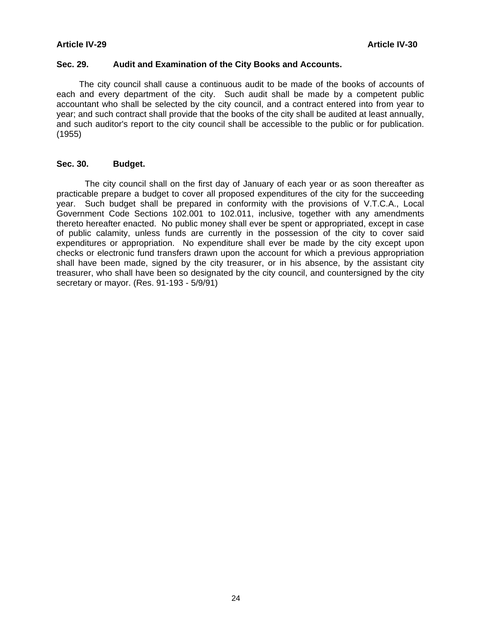#### **Sec. 29. Audit and Examination of the City Books and Accounts.**

 The city council shall cause a continuous audit to be made of the books of accounts of each and every department of the city. Such audit shall be made by a competent public accountant who shall be selected by the city council, and a contract entered into from year to year; and such contract shall provide that the books of the city shall be audited at least annually, and such auditor's report to the city council shall be accessible to the public or for publication. (1955)

#### **Sec. 30. Budget.**

 The city council shall on the first day of January of each year or as soon thereafter as practicable prepare a budget to cover all proposed expenditures of the city for the succeeding year. Such budget shall be prepared in conformity with the provisions of V.T.C.A., Local Government Code Sections 102.001 to 102.011, inclusive, together with any amendments thereto hereafter enacted. No public money shall ever be spent or appropriated, except in case of public calamity, unless funds are currently in the possession of the city to cover said expenditures or appropriation. No expenditure shall ever be made by the city except upon checks or electronic fund transfers drawn upon the account for which a previous appropriation shall have been made, signed by the city treasurer, or in his absence, by the assistant city treasurer, who shall have been so designated by the city council, and countersigned by the city secretary or mayor. (Res. 91-193 - 5/9/91)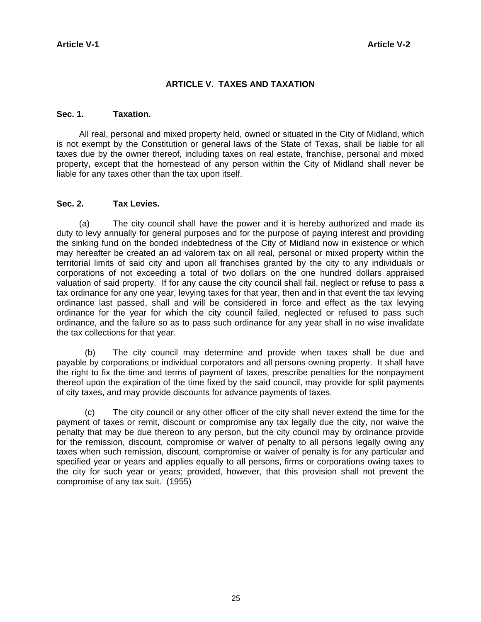### **ARTICLE V. TAXES AND TAXATION**

#### **Sec. 1. Taxation.**

 All real, personal and mixed property held, owned or situated in the City of Midland, which is not exempt by the Constitution or general laws of the State of Texas, shall be liable for all taxes due by the owner thereof, including taxes on real estate, franchise, personal and mixed property, except that the homestead of any person within the City of Midland shall never be liable for any taxes other than the tax upon itself.

#### **Sec. 2. Tax Levies.**

 (a) The city council shall have the power and it is hereby authorized and made its duty to levy annually for general purposes and for the purpose of paying interest and providing the sinking fund on the bonded indebtedness of the City of Midland now in existence or which may hereafter be created an ad valorem tax on all real, personal or mixed property within the territorial limits of said city and upon all franchises granted by the city to any individuals or corporations of not exceeding a total of two dollars on the one hundred dollars appraised valuation of said property. If for any cause the city council shall fail, neglect or refuse to pass a tax ordinance for any one year, levying taxes for that year, then and in that event the tax levying ordinance last passed, shall and will be considered in force and effect as the tax levying ordinance for the year for which the city council failed, neglected or refused to pass such ordinance, and the failure so as to pass such ordinance for any year shall in no wise invalidate the tax collections for that year.

 (b) The city council may determine and provide when taxes shall be due and payable by corporations or individual corporators and all persons owning property. It shall have the right to fix the time and terms of payment of taxes, prescribe penalties for the nonpayment thereof upon the expiration of the time fixed by the said council, may provide for split payments of city taxes, and may provide discounts for advance payments of taxes.

 (c) The city council or any other officer of the city shall never extend the time for the payment of taxes or remit, discount or compromise any tax legally due the city, nor waive the penalty that may be due thereon to any person, but the city council may by ordinance provide for the remission, discount, compromise or waiver of penalty to all persons legally owing any taxes when such remission, discount, compromise or waiver of penalty is for any particular and specified year or years and applies equally to all persons, firms or corporations owing taxes to the city for such year or years; provided, however, that this provision shall not prevent the compromise of any tax suit. (1955)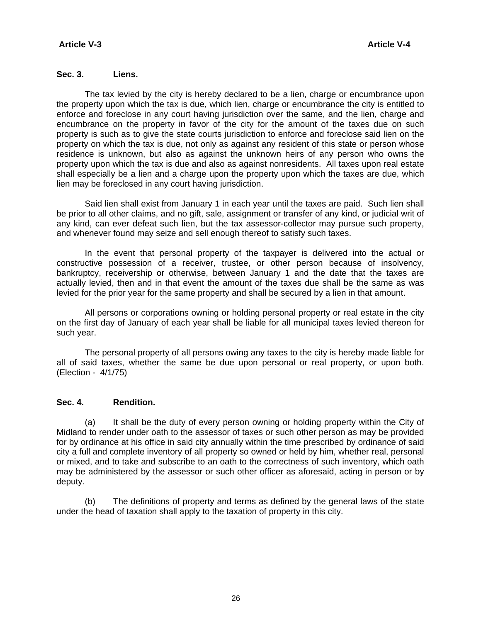#### **Sec. 3. Liens.**

 The tax levied by the city is hereby declared to be a lien, charge or encumbrance upon the property upon which the tax is due, which lien, charge or encumbrance the city is entitled to enforce and foreclose in any court having jurisdiction over the same, and the lien, charge and encumbrance on the property in favor of the city for the amount of the taxes due on such property is such as to give the state courts jurisdiction to enforce and foreclose said lien on the property on which the tax is due, not only as against any resident of this state or person whose residence is unknown, but also as against the unknown heirs of any person who owns the property upon which the tax is due and also as against nonresidents. All taxes upon real estate shall especially be a lien and a charge upon the property upon which the taxes are due, which lien may be foreclosed in any court having jurisdiction.

 Said lien shall exist from January 1 in each year until the taxes are paid. Such lien shall be prior to all other claims, and no gift, sale, assignment or transfer of any kind, or judicial writ of any kind, can ever defeat such lien, but the tax assessor-collector may pursue such property, and whenever found may seize and sell enough thereof to satisfy such taxes.

 In the event that personal property of the taxpayer is delivered into the actual or constructive possession of a receiver, trustee, or other person because of insolvency, bankruptcy, receivership or otherwise, between January 1 and the date that the taxes are actually levied, then and in that event the amount of the taxes due shall be the same as was levied for the prior year for the same property and shall be secured by a lien in that amount.

 All persons or corporations owning or holding personal property or real estate in the city on the first day of January of each year shall be liable for all municipal taxes levied thereon for such year.

 The personal property of all persons owing any taxes to the city is hereby made liable for all of said taxes, whether the same be due upon personal or real property, or upon both. (Election - 4/1/75)

#### **Sec. 4. Rendition.**

 (a) It shall be the duty of every person owning or holding property within the City of Midland to render under oath to the assessor of taxes or such other person as may be provided for by ordinance at his office in said city annually within the time prescribed by ordinance of said city a full and complete inventory of all property so owned or held by him, whether real, personal or mixed, and to take and subscribe to an oath to the correctness of such inventory, which oath may be administered by the assessor or such other officer as aforesaid, acting in person or by deputy.

 (b) The definitions of property and terms as defined by the general laws of the state under the head of taxation shall apply to the taxation of property in this city.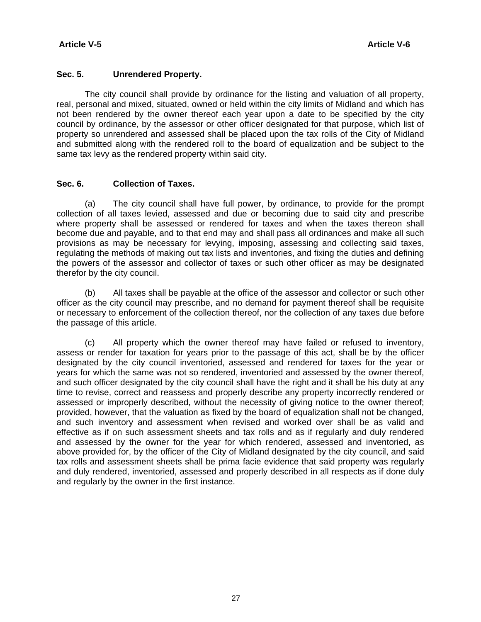#### **Sec. 5. Unrendered Property.**

 The city council shall provide by ordinance for the listing and valuation of all property, real, personal and mixed, situated, owned or held within the city limits of Midland and which has not been rendered by the owner thereof each year upon a date to be specified by the city council by ordinance, by the assessor or other officer designated for that purpose, which list of property so unrendered and assessed shall be placed upon the tax rolls of the City of Midland and submitted along with the rendered roll to the board of equalization and be subject to the same tax levy as the rendered property within said city.

#### **Sec. 6. Collection of Taxes.**

 (a) The city council shall have full power, by ordinance, to provide for the prompt collection of all taxes levied, assessed and due or becoming due to said city and prescribe where property shall be assessed or rendered for taxes and when the taxes thereon shall become due and payable, and to that end may and shall pass all ordinances and make all such provisions as may be necessary for levying, imposing, assessing and collecting said taxes, regulating the methods of making out tax lists and inventories, and fixing the duties and defining the powers of the assessor and collector of taxes or such other officer as may be designated therefor by the city council.

 (b) All taxes shall be payable at the office of the assessor and collector or such other officer as the city council may prescribe, and no demand for payment thereof shall be requisite or necessary to enforcement of the collection thereof, nor the collection of any taxes due before the passage of this article.

 (c) All property which the owner thereof may have failed or refused to inventory, assess or render for taxation for years prior to the passage of this act, shall be by the officer designated by the city council inventoried, assessed and rendered for taxes for the year or years for which the same was not so rendered, inventoried and assessed by the owner thereof, and such officer designated by the city council shall have the right and it shall be his duty at any time to revise, correct and reassess and properly describe any property incorrectly rendered or assessed or improperly described, without the necessity of giving notice to the owner thereof; provided, however, that the valuation as fixed by the board of equalization shall not be changed, and such inventory and assessment when revised and worked over shall be as valid and effective as if on such assessment sheets and tax rolls and as if regularly and duly rendered and assessed by the owner for the year for which rendered, assessed and inventoried, as above provided for, by the officer of the City of Midland designated by the city council, and said tax rolls and assessment sheets shall be prima facie evidence that said property was regularly and duly rendered, inventoried, assessed and properly described in all respects as if done duly and regularly by the owner in the first instance.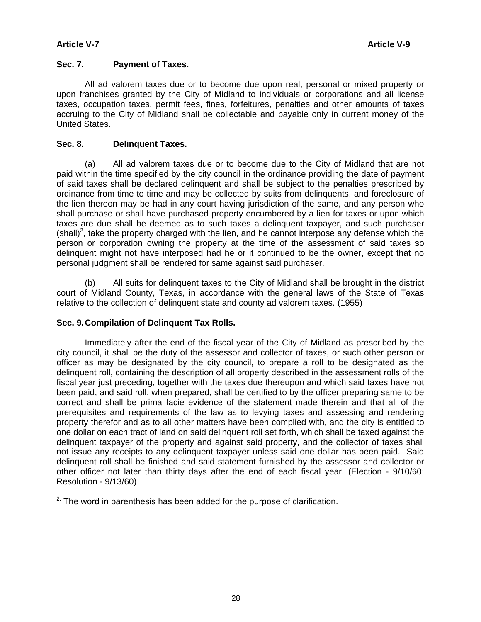#### **Sec. 7. Payment of Taxes.**

 All ad valorem taxes due or to become due upon real, personal or mixed property or upon franchises granted by the City of Midland to individuals or corporations and all license taxes, occupation taxes, permit fees, fines, forfeitures, penalties and other amounts of taxes accruing to the City of Midland shall be collectable and payable only in current money of the United States.

#### **Sec. 8. Delinquent Taxes.**

 (a) All ad valorem taxes due or to become due to the City of Midland that are not paid within the time specified by the city council in the ordinance providing the date of payment of said taxes shall be declared delinquent and shall be subject to the penalties prescribed by ordinance from time to time and may be collected by suits from delinquents, and foreclosure of the lien thereon may be had in any court having jurisdiction of the same, and any person who shall purchase or shall have purchased property encumbered by a lien for taxes or upon which taxes are due shall be deemed as to such taxes a delinquent taxpayer, and such purchaser  $(\text{shall})^2$ , take the property charged with the lien, and he cannot interpose any defense which the person or corporation owning the property at the time of the assessment of said taxes so delinquent might not have interposed had he or it continued to be the owner, except that no personal judgment shall be rendered for same against said purchaser.

 (b) All suits for delinquent taxes to the City of Midland shall be brought in the district court of Midland County, Texas, in accordance with the general laws of the State of Texas relative to the collection of delinquent state and county ad valorem taxes. (1955)

#### **Sec. 9. Compilation of Delinquent Tax Rolls.**

 Immediately after the end of the fiscal year of the City of Midland as prescribed by the city council, it shall be the duty of the assessor and collector of taxes, or such other person or officer as may be designated by the city council, to prepare a roll to be designated as the delinquent roll, containing the description of all property described in the assessment rolls of the fiscal year just preceding, together with the taxes due thereupon and which said taxes have not been paid, and said roll, when prepared, shall be certified to by the officer preparing same to be correct and shall be prima facie evidence of the statement made therein and that all of the prerequisites and requirements of the law as to levying taxes and assessing and rendering property therefor and as to all other matters have been complied with, and the city is entitled to one dollar on each tract of land on said delinquent roll set forth, which shall be taxed against the delinquent taxpayer of the property and against said property, and the collector of taxes shall not issue any receipts to any delinquent taxpayer unless said one dollar has been paid. Said delinquent roll shall be finished and said statement furnished by the assessor and collector or other officer not later than thirty days after the end of each fiscal year. (Election - 9/10/60; Resolution - 9/13/60)

 $2$ . The word in parenthesis has been added for the purpose of clarification.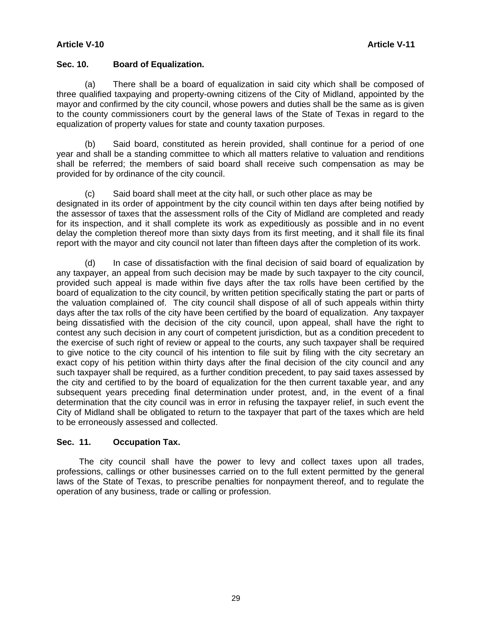#### **Article V-10 Article V-11**

#### **Sec. 10. Board of Equalization.**

 (a) There shall be a board of equalization in said city which shall be composed of three qualified taxpaying and property-owning citizens of the City of Midland, appointed by the mayor and confirmed by the city council, whose powers and duties shall be the same as is given to the county commissioners court by the general laws of the State of Texas in regard to the equalization of property values for state and county taxation purposes.

 (b) Said board, constituted as herein provided, shall continue for a period of one year and shall be a standing committee to which all matters relative to valuation and renditions shall be referred; the members of said board shall receive such compensation as may be provided for by ordinance of the city council.

(c) Said board shall meet at the city hall, or such other place as may be designated in its order of appointment by the city council within ten days after being notified by the assessor of taxes that the assessment rolls of the City of Midland are completed and ready for its inspection, and it shall complete its work as expeditiously as possible and in no event delay the completion thereof more than sixty days from its first meeting, and it shall file its final report with the mayor and city council not later than fifteen days after the completion of its work.

 (d) In case of dissatisfaction with the final decision of said board of equalization by any taxpayer, an appeal from such decision may be made by such taxpayer to the city council, provided such appeal is made within five days after the tax rolls have been certified by the board of equalization to the city council, by written petition specifically stating the part or parts of the valuation complained of. The city council shall dispose of all of such appeals within thirty days after the tax rolls of the city have been certified by the board of equalization. Any taxpayer being dissatisfied with the decision of the city council, upon appeal, shall have the right to contest any such decision in any court of competent jurisdiction, but as a condition precedent to the exercise of such right of review or appeal to the courts, any such taxpayer shall be required to give notice to the city council of his intention to file suit by filing with the city secretary an exact copy of his petition within thirty days after the final decision of the city council and any such taxpayer shall be required, as a further condition precedent, to pay said taxes assessed by the city and certified to by the board of equalization for the then current taxable year, and any subsequent years preceding final determination under protest, and, in the event of a final determination that the city council was in error in refusing the taxpayer relief, in such event the City of Midland shall be obligated to return to the taxpayer that part of the taxes which are held to be erroneously assessed and collected.

### **Sec. 11. Occupation Tax.**

 The city council shall have the power to levy and collect taxes upon all trades, professions, callings or other businesses carried on to the full extent permitted by the general laws of the State of Texas, to prescribe penalties for nonpayment thereof, and to regulate the operation of any business, trade or calling or profession.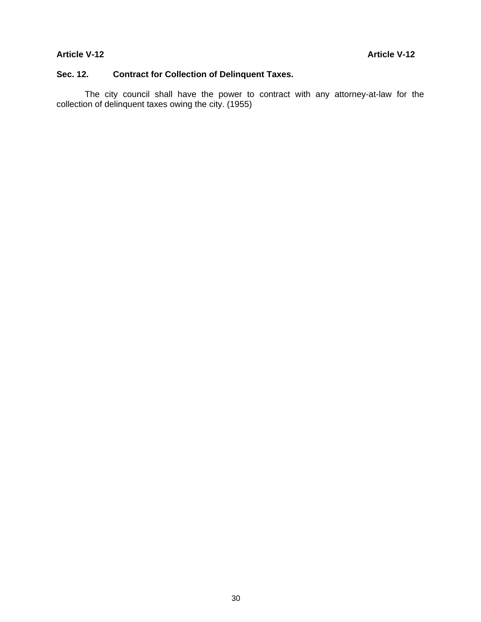### **Sec. 12. Contract for Collection of Delinquent Taxes.**

 The city council shall have the power to contract with any attorney-at-law for the collection of delinquent taxes owing the city. (1955)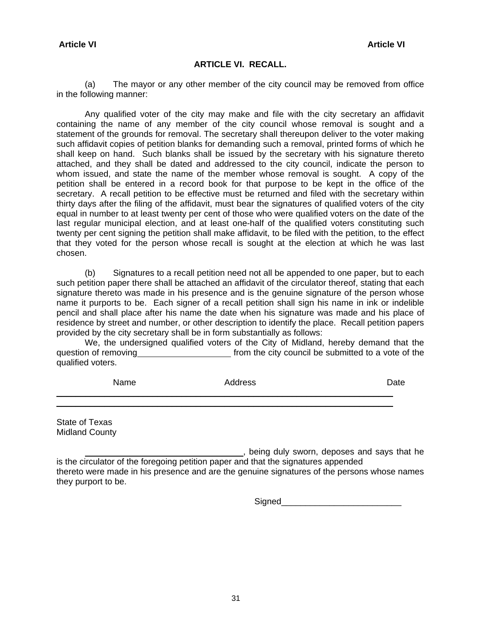#### **ARTICLE VI. RECALL.**

 (a) The mayor or any other member of the city council may be removed from office in the following manner:

 Any qualified voter of the city may make and file with the city secretary an affidavit containing the name of any member of the city council whose removal is sought and a statement of the grounds for removal. The secretary shall thereupon deliver to the voter making such affidavit copies of petition blanks for demanding such a removal, printed forms of which he shall keep on hand. Such blanks shall be issued by the secretary with his signature thereto attached, and they shall be dated and addressed to the city council, indicate the person to whom issued, and state the name of the member whose removal is sought. A copy of the petition shall be entered in a record book for that purpose to be kept in the office of the secretary. A recall petition to be effective must be returned and filed with the secretary within thirty days after the filing of the affidavit, must bear the signatures of qualified voters of the city equal in number to at least twenty per cent of those who were qualified voters on the date of the last regular municipal election, and at least one-half of the qualified voters constituting such twenty per cent signing the petition shall make affidavit, to be filed with the petition, to the effect that they voted for the person whose recall is sought at the election at which he was last chosen.

 (b) Signatures to a recall petition need not all be appended to one paper, but to each such petition paper there shall be attached an affidavit of the circulator thereof, stating that each signature thereto was made in his presence and is the genuine signature of the person whose name it purports to be. Each signer of a recall petition shall sign his name in ink or indelible pencil and shall place after his name the date when his signature was made and his place of residence by street and number, or other description to identify the place. Recall petition papers provided by the city secretary shall be in form substantially as follows:

 We, the undersigned qualified voters of the City of Midland, hereby demand that the question of removing **from** the city council be submitted to a vote of the qualified voters.

| Name | Address | Date |
|------|---------|------|
|      |         |      |

State of Texas Midland County

**Fig. 2.** being duly sworn, deposes and says that he is the circulator of the foregoing petition paper and that the signatures appended thereto were made in his presence and are the genuine signatures of the persons whose names they purport to be.

Signed\_\_\_\_\_\_\_\_\_\_\_\_\_\_\_\_\_\_\_\_\_\_\_\_\_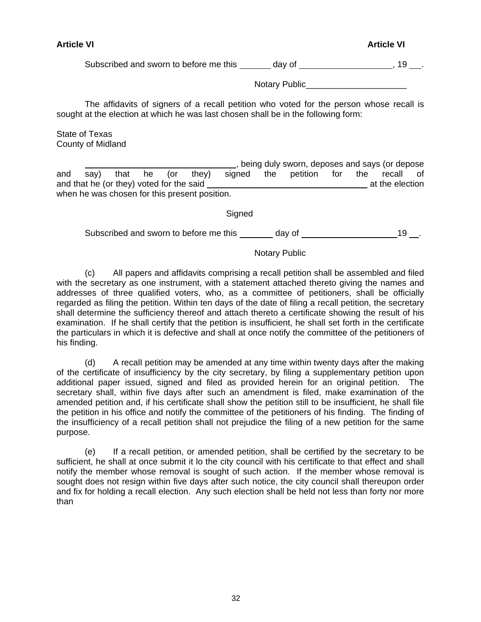#### **Article VI Article VI**

Subscribed and sworn to before me this  $\frac{1}{\sqrt{1-\frac{1}{n}}}$  day of  $\frac{1}{\sqrt{1-\frac{1}{n}}}$ , 19 ...

Notary Public

 The affidavits of signers of a recall petition who voted for the person whose recall is sought at the election at which he was last chosen shall be in the following form:

State of Texas County of Midland

 , being duly sworn, deposes and says (or depose and say) that he (or they) signed the petition for the recall of and that he (or they) voted for the said at the election at the election when he was chosen for this present position.

Signed

Subscribed and sworn to before me this day of 19 ...

### Notary Public

 (c) All papers and affidavits comprising a recall petition shall be assembled and filed with the secretary as one instrument, with a statement attached thereto giving the names and addresses of three qualified voters, who, as a committee of petitioners, shall be officially regarded as filing the petition. Within ten days of the date of filing a recall petition, the secretary shall determine the sufficiency thereof and attach thereto a certificate showing the result of his examination. If he shall certify that the petition is insufficient, he shall set forth in the certificate the particulars in which it is defective and shall at once notify the committee of the petitioners of his finding.

 (d) A recalI petition may be amended at any time within twenty days after the making of the certificate of insufficiency by the city secretary, by filing a supplementary petition upon additional paper issued, signed and filed as provided herein for an original petition. The secretary shall, within five days after such an amendment is filed, make examination of the amended petition and, if his certificate shall show the petition still to be insufficient, he shall file the petition in his office and notify the committee of the petitioners of his finding. The finding of the insufficiency of a recall petition shall not prejudice the filing of a new petition for the same purpose.

 (e) If a recalI petition, or amended petition, shall be certified by the secretary to be sufficient, he shall at once submit it lo the city council with his certificate to that effect and shall notify the member whose removal is sought of such action. If the member whose removal is sought does not resign within five days after such notice, the city council shall thereupon order and fix for holding a recall election. Any such election shall be held not less than forty nor more than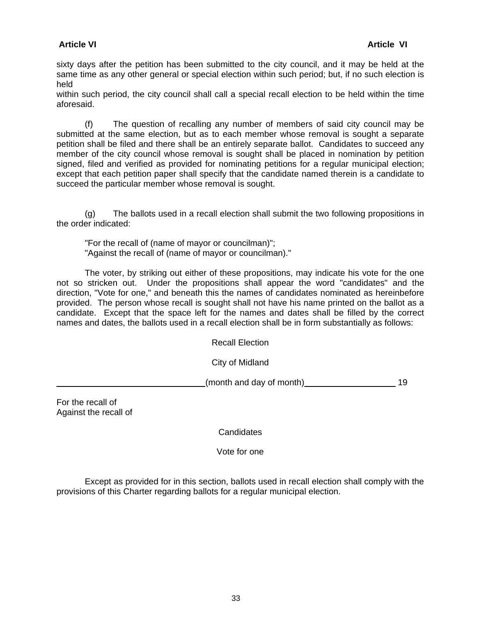### **Article VI Article VI**

sixty days after the petition has been submitted to the city council, and it may be held at the same time as any other general or special election within such period; but, if no such election is held

within such period, the city council shall call a special recall election to be held within the time aforesaid.

 (f) The question of recalling any number of members of said city council may be submitted at the same election, but as to each member whose removal is sought a separate petition shall be filed and there shall be an entirely separate ballot. Candidates to succeed any member of the city council whose removal is sought shall be placed in nomination by petition signed, filed and verified as provided for nominating petitions for a regular municipal election; except that each petition paper shall specify that the candidate named therein is a candidate to succeed the particular member whose removal is sought.

 (g) The ballots used in a recall election shall submit the two following propositions in the order indicated:

 "For the recall of (name of mayor or councilman)"; "Against the recall of (name of mayor or councilman)."

 The voter, by striking out either of these propositions, may indicate his vote for the one not so stricken out. Under the propositions shall appear the word "candidates" and the direction, "Vote for one," and beneath this the names of candidates nominated as hereinbefore provided. The person whose recall is sought shall not have his name printed on the ballot as a candidate. Except that the space left for the names and dates shall be filled by the correct names and dates, the ballots used in a recall election shall be in form substantially as follows:

Recall Election

City of Midland

(month and day of month) 19

For the recall of Against the recall of

**Candidates** 

Vote for one

 Except as provided for in this section, ballots used in recall election shall comply with the provisions of this Charter regarding ballots for a regular municipal election.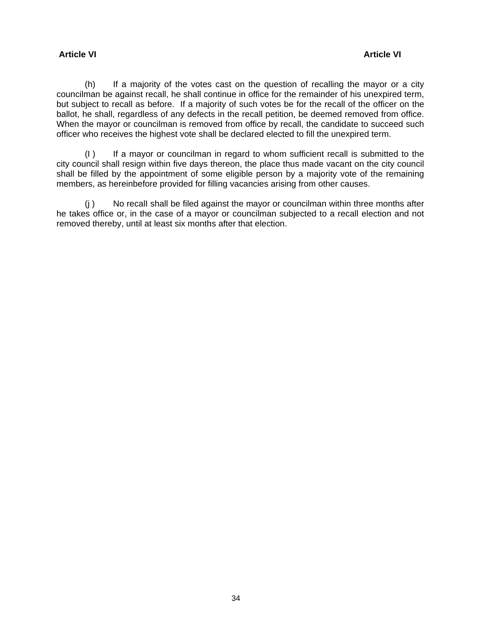### **Article VI Article VI**

 (h) If a majority of the votes cast on the question of recalling the mayor or a city councilman be against recall, he shall continue in office for the remainder of his unexpired term, but subject to recall as before. If a majority of such votes be for the recall of the officer on the ballot, he shall, regardless of any defects in the recall petition, be deemed removed from office. When the mayor or councilman is removed from office by recall, the candidate to succeed such officer who receives the highest vote shall be declared elected to fill the unexpired term.

 (I ) If a mayor or councilman in regard to whom sufficient recall is submitted to the city council shall resign within five days thereon, the place thus made vacant on the city council shall be filled by the appointment of some eligible person by a majority vote of the remaining members, as hereinbefore provided for filling vacancies arising from other causes.

 (j ) No recalI shall be filed against the mayor or councilman within three months after he takes office or, in the case of a mayor or councilman subjected to a recall election and not removed thereby, until at least six months after that election.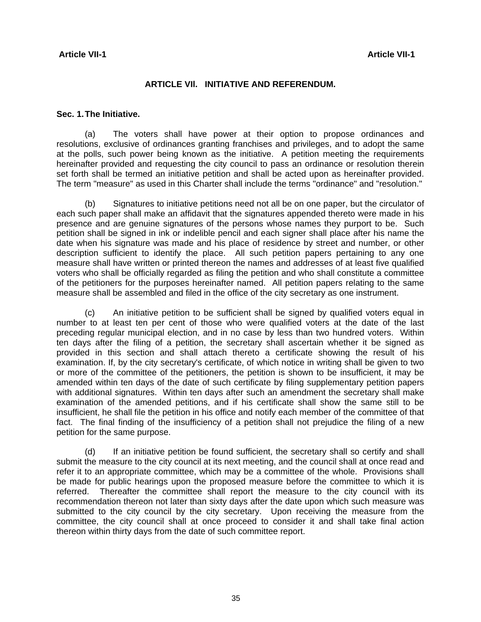#### **ARTICLE VIl. INITIATIVE AND REFERENDUM.**

#### **Sec. 1. The Initiative.**

 (a) The voters shall have power at their option to propose ordinances and resolutions, exclusive of ordinances granting franchises and privileges, and to adopt the same at the polls, such power being known as the initiative. A petition meeting the requirements hereinafter provided and requesting the city council to pass an ordinance or resolution therein set forth shall be termed an initiative petition and shall be acted upon as hereinafter provided. The term "measure" as used in this Charter shall include the terms "ordinance" and "resolution."

 (b) Signatures to initiative petitions need not all be on one paper, but the circulator of each such paper shall make an affidavit that the signatures appended thereto were made in his presence and are genuine signatures of the persons whose names they purport to be. Such petition shall be signed in ink or indelible pencil and each signer shall place after his name the date when his signature was made and his place of residence by street and number, or other description sufficient to identify the place. All such petition papers pertaining to any one measure shall have written or printed thereon the names and addresses of at least five qualified voters who shall be officially regarded as filing the petition and who shall constitute a committee of the petitioners for the purposes hereinafter named. All petition papers relating to the same measure shall be assembled and filed in the office of the city secretary as one instrument.

 (c) An initiative petition to be sufficient shall be signed by qualified voters equal in number to at least ten per cent of those who were qualified voters at the date of the last preceding regular municipal election, and in no case by less than two hundred voters. Within ten days after the filing of a petition, the secretary shall ascertain whether it be signed as provided in this section and shall attach thereto a certificate showing the result of his examination. If, by the city secretary's certificate, of which notice in writing shall be given to two or more of the committee of the petitioners, the petition is shown to be insufficient, it may be amended within ten days of the date of such certificate by filing supplementary petition papers with additional signatures. Within ten days after such an amendment the secretary shall make examination of the amended petitions, and if his certificate shall show the same still to be insufficient, he shall file the petition in his office and notify each member of the committee of that fact. The final finding of the insufficiency of a petition shall not prejudice the filing of a new petition for the same purpose.

 (d) If an initiative petition be found sufficient, the secretary shall so certify and shall submit the measure to the city council at its next meeting, and the council shall at once read and refer it to an appropriate committee, which may be a committee of the whole. Provisions shall be made for public hearings upon the proposed measure before the committee to which it is referred. Thereafter the committee shall report the measure to the city council with its recommendation thereon not later than sixty days after the date upon which such measure was submitted to the city council by the city secretary. Upon receiving the measure from the committee, the city council shall at once proceed to consider it and shall take final action thereon within thirty days from the date of such committee report.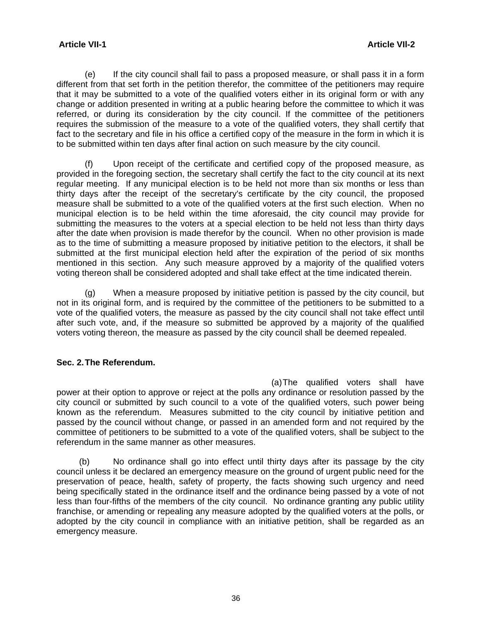(e) If the city council shall fail to pass a proposed measure, or shall pass it in a form different from that set forth in the petition therefor, the committee of the petitioners may require that it may be submitted to a vote of the qualified voters either in its original form or with any change or addition presented in writing at a public hearing before the committee to which it was referred, or during its consideration by the city council. If the committee of the petitioners requires the submission of the measure to a vote of the qualified voters, they shall certify that fact to the secretary and file in his office a certified copy of the measure in the form in which it is to be submitted within ten days after final action on such measure by the city council.

 (f) Upon receipt of the certificate and certified copy of the proposed measure, as provided in the foregoing section, the secretary shall certify the fact to the city council at its next regular meeting. If any municipal election is to be held not more than six months or less than thirty days after the receipt of the secretary's certificate by the city council, the proposed measure shall be submitted to a vote of the qualified voters at the first such election. When no municipal election is to be held within the time aforesaid, the city council may provide for submitting the measures to the voters at a special election to be held not less than thirty days after the date when provision is made therefor by the council. When no other provision is made as to the time of submitting a measure proposed by initiative petition to the electors, it shall be submitted at the first municipal election held after the expiration of the period of six months mentioned in this section. Any such measure approved by a majority of the qualified voters voting thereon shall be considered adopted and shall take effect at the time indicated therein.

 (g) When a measure proposed by initiative petition is passed by the city council, but not in its original form, and is required by the committee of the petitioners to be submitted to a vote of the qualified voters, the measure as passed by the city council shall not take effect until after such vote, and, if the measure so submitted be approved by a majority of the qualified voters voting thereon, the measure as passed by the city council shall be deemed repealed.

### **Sec. 2. The Referendum.**

(a) The qualified voters shall have power at their option to approve or reject at the polls any ordinance or resolution passed by the city council or submitted by such council to a vote of the qualified voters, such power being known as the referendum. Measures submitted to the city council by initiative petition and passed by the council without change, or passed in an amended form and not required by the committee of petitioners to be submitted to a vote of the qualified voters, shall be subject to the referendum in the same manner as other measures.

 (b) No ordinance shall go into effect until thirty days after its passage by the city council unless it be declared an emergency measure on the ground of urgent public need for the preservation of peace, health, safety of property, the facts showing such urgency and need being specifically stated in the ordinance itself and the ordinance being passed by a vote of not less than four-fifths of the members of the city council. No ordinance granting any public utility franchise, or amending or repealing any measure adopted by the qualified voters at the polls, or adopted by the city council in compliance with an initiative petition, shall be regarded as an emergency measure.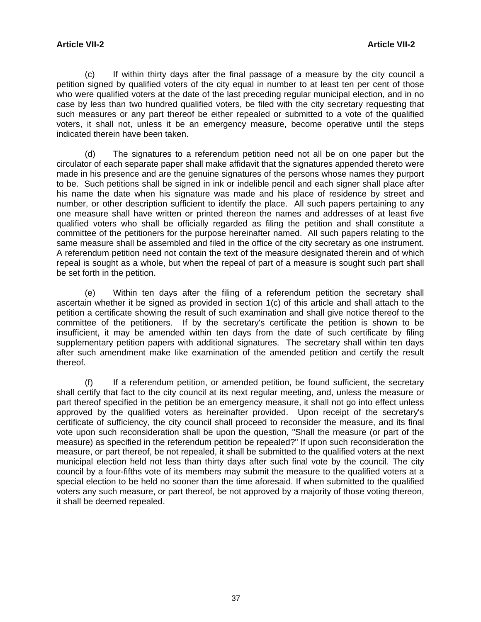(c) If within thirty days after the final passage of a measure by the city council a petition signed by qualified voters of the city equal in number to at least ten per cent of those who were qualified voters at the date of the last preceding regular municipal election, and in no case by less than two hundred qualified voters, be filed with the city secretary requesting that such measures or any part thereof be either repealed or submitted to a vote of the qualified voters, it shall not, unless it be an emergency measure, become operative until the steps indicated therein have been taken.

 (d) The signatures to a referendum petition need not all be on one paper but the circulator of each separate paper shall make affidavit that the signatures appended thereto were made in his presence and are the genuine signatures of the persons whose names they purport to be. Such petitions shall be signed in ink or indelible pencil and each signer shall place after his name the date when his signature was made and his place of residence by street and number, or other description sufficient to identify the place. All such papers pertaining to any one measure shall have written or printed thereon the names and addresses of at least five qualified voters who shall be officially regarded as filing the petition and shall constitute a committee of the petitioners for the purpose hereinafter named. All such papers relating to the same measure shall be assembled and filed in the office of the city secretary as one instrument. A referendum petition need not contain the text of the measure designated therein and of which repeal is sought as a whole, but when the repeal of part of a measure is sought such part shall be set forth in the petition.

 (e) Within ten days after the filing of a referendum petition the secretary shall ascertain whether it be signed as provided in section 1(c) of this article and shall attach to the petition a certificate showing the result of such examination and shall give notice thereof to the committee of the petitioners. If by the secretary's certificate the petition is shown to be insufficient, it may be amended within ten days from the date of such certificate by filing supplementary petition papers with additional signatures. The secretary shall within ten days after such amendment make Iike examination of the amended petition and certify the result thereof.

 (f) If a referendum petition, or amended petition, be found sufficient, the secretary shall certify that fact to the city council at its next regular meeting, and, unless the measure or part thereof specified in the petition be an emergency measure, it shall not go into effect unless approved by the qualified voters as hereinafter provided. Upon receipt of the secretary's certificate of sufficiency, the city council shall proceed to reconsider the measure, and its final vote upon such reconsideration shall be upon the question, "Shall the measure (or part of the measure) as specified in the referendum petition be repealed?" If upon such reconsideration the measure, or part thereof, be not repealed, it shall be submitted to the qualified voters at the next municipal election held not less than thirty days after such final vote by the council. The city council by a four-fifths vote of its members may submit the measure to the qualified voters at a special election to be held no sooner than the time aforesaid. If when submitted to the qualified voters any such measure, or part thereof, be not approved by a majority of those voting thereon, it shall be deemed repealed.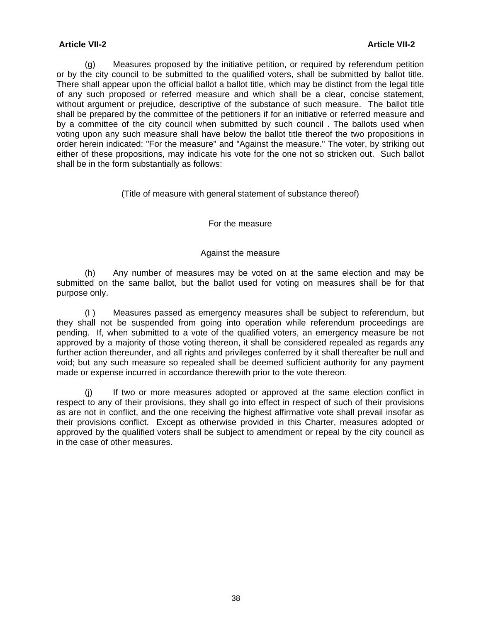(g) Measures proposed by the initiative petition, or required by referendum petition or by the city council to be submitted to the qualified voters, shall be submitted by ballot title. There shall appear upon the official ballot a ballot title, which may be distinct from the legal title of any such proposed or referred measure and which shall be a clear, concise statement, without argument or prejudice, descriptive of the substance of such measure. The ballot title shall be prepared by the committee of the petitioners if for an initiative or referred measure and by a committee of the city council when submitted by such council . The ballots used when voting upon any such measure shall have below the ballot title thereof the two propositions in order herein indicated: "For the measure" and "Against the measure." The voter, by striking out either of these propositions, may indicate his vote for the one not so stricken out. Such ballot shall be in the form substantially as follows:

#### (Title of measure with general statement of substance thereof)

#### For the measure

#### Against the measure

 (h) Any number of measures may be voted on at the same election and may be submitted on the same ballot, but the ballot used for voting on measures shall be for that purpose only.

 (I ) Measures passed as emergency measures shall be subject to referendum, but they shall not be suspended from going into operation while referendum proceedings are pending. If, when submitted to a vote of the qualified voters, an emergency measure be not approved by a majority of those voting thereon, it shall be considered repealed as regards any further action thereunder, and all rights and privileges conferred by it shall thereafter be null and void; but any such measure so repealed shall be deemed sufficient authority for any payment made or expense incurred in accordance therewith prior to the vote thereon.

 (j) If two or more measures adopted or approved at the same election conflict in respect to any of their provisions, they shall go into effect in respect of such of their provisions as are not in conflict, and the one receiving the highest affirmative vote shall prevail insofar as their provisions conflict. Except as otherwise provided in this Charter, measures adopted or approved by the qualified voters shall be subject to amendment or repeal by the city council as in the case of other measures.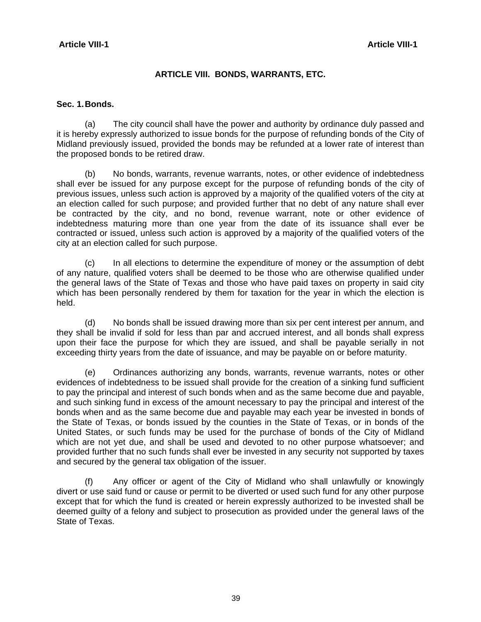#### **Article VIII-1** Article VIII-1

### **ARTICLE VIII. BONDS, WARRANTS, ETC.**

#### **Sec. 1. Bonds.**

 (a) The city council shall have the power and authority by ordinance duly passed and it is hereby expressly authorized to issue bonds for the purpose of refunding bonds of the City of Midland previously issued, provided the bonds may be refunded at a lower rate of interest than the proposed bonds to be retired draw.

 (b) No bonds, warrants, revenue warrants, notes, or other evidence of indebtedness shall ever be issued for any purpose except for the purpose of refunding bonds of the city of previous issues, unless such action is approved by a majority of the qualified voters of the city at an election called for such purpose; and provided further that no debt of any nature shall ever be contracted by the city, and no bond, revenue warrant, note or other evidence of indebtedness maturing more than one year from the date of its issuance shall ever be contracted or issued, unless such action is approved by a majority of the qualified voters of the city at an election called for such purpose.

 (c) In all elections to determine the expenditure of money or the assumption of debt of any nature, qualified voters shall be deemed to be those who are otherwise qualified under the general laws of the State of Texas and those who have paid taxes on property in said city which has been personally rendered by them for taxation for the year in which the election is held.

 (d) No bonds shall be issued drawing more than six per cent interest per annum, and they shall be invalid if sold for Iess than par and accrued interest, and all bonds shall express upon their face the purpose for which they are issued, and shall be payable serially in not exceeding thirty years from the date of issuance, and may be payable on or before maturity.

 (e) Ordinances authorizing any bonds, warrants, revenue warrants, notes or other evidences of indebtedness to be issued shall provide for the creation of a sinking fund sufficient to pay the principal and interest of such bonds when and as the same become due and payable, and such sinking fund in excess of the amount necessary to pay the principal and interest of the bonds when and as the same become due and payable may each year be invested in bonds of the State of Texas, or bonds issued by the counties in the State of Texas, or in bonds of the United States, or such funds may be used for the purchase of bonds of the City of Midland which are not yet due, and shall be used and devoted to no other purpose whatsoever; and provided further that no such funds shall ever be invested in any security not supported by taxes and secured by the general tax obligation of the issuer.

 (f) Any officer or agent of the City of Midland who shall unlawfully or knowingly divert or use said fund or cause or permit to be diverted or used such fund for any other purpose except that for which the fund is created or herein expressly authorized to be invested shall be deemed guilty of a felony and subject to prosecution as provided under the general laws of the State of Texas.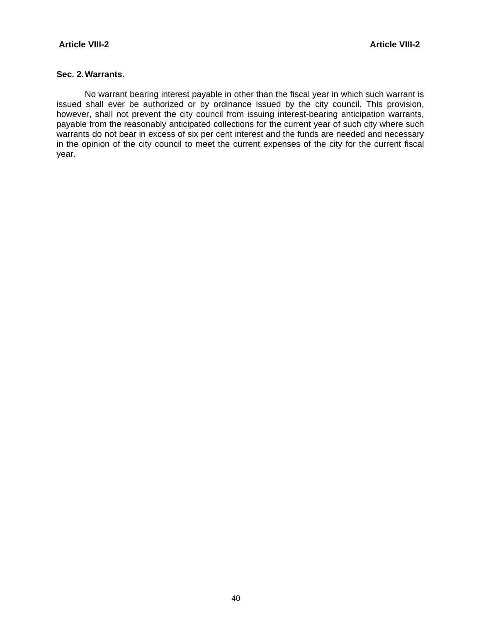#### **Sec. 2. Warrants.**

 No warrant bearing interest payable in other than the fiscal year in which such warrant is issued shall ever be authorized or by ordinance issued by the city council. This provision, however, shall not prevent the city council from issuing interest-bearing anticipation warrants, payable from the reasonably anticipated collections for the current year of such city where such warrants do not bear in excess of six per cent interest and the funds are needed and necessary in the opinion of the city council to meet the current expenses of the city for the current fiscal year.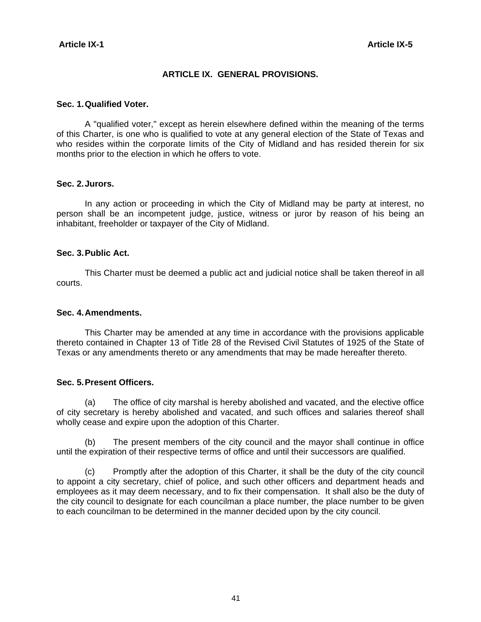#### **ARTICLE IX. GENERAL PROVISIONS.**

#### **Sec. 1. Qualified Voter.**

 A "qualified voter," except as herein elsewhere defined within the meaning of the terms of this Charter, is one who is qualified to vote at any general election of the State of Texas and who resides within the corporate Iimits of the City of Midland and has resided therein for six months prior to the election in which he offers to vote.

#### **Sec. 2. Jurors.**

 In any action or proceeding in which the City of Midland may be party at interest, no person shall be an incompetent judge, justice, witness or juror by reason of his being an inhabitant, freeholder or taxpayer of the City of Midland.

#### **Sec. 3. Public Act.**

 This Charter must be deemed a public act and judicial notice shall be taken thereof in all courts.

#### **Sec. 4. Amendments.**

 This Charter may be amended at any time in accordance with the provisions applicable thereto contained in Chapter 13 of Title 28 of the Revised Civil Statutes of 1925 of the State of Texas or any amendments thereto or any amendments that may be made hereafter thereto.

#### **Sec. 5. Present Officers.**

 (a) The office of city marshal is hereby abolished and vacated, and the elective office of city secretary is hereby abolished and vacated, and such offices and salaries thereof shall wholly cease and expire upon the adoption of this Charter.

 (b) The present members of the city council and the mayor shall continue in office until the expiration of their respective terms of office and until their successors are qualified.

 (c) Promptly after the adoption of this Charter, it shall be the duty of the city council to appoint a city secretary, chief of police, and such other officers and department heads and employees as it may deem necessary, and to fix their compensation. It shall also be the duty of the city council to designate for each councilman a place number, the place number to be given to each councilman to be determined in the manner decided upon by the city council.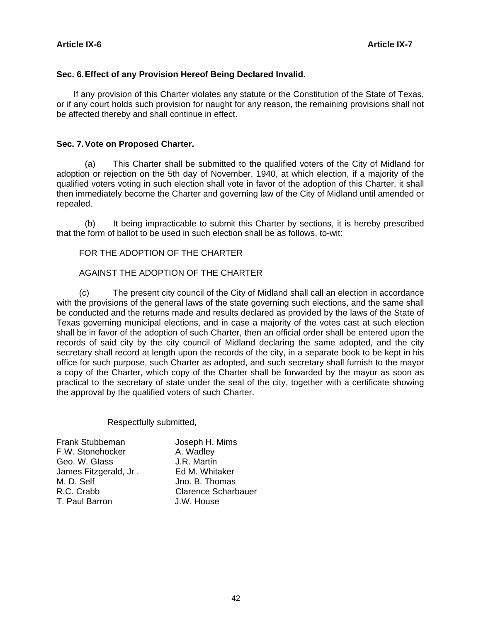#### **Sec. 6. Effect of any Provision Hereof Being Declared Invalid.**

 If any provision of this Charter violates any statute or the Constitution of the State of Texas, or if any court holds such provision for naught for any reason, the remaining provisions shall not be affected thereby and shall continue in effect.

#### **Sec. 7. Vote on Proposed Charter.**

 (a) This Charter shall be submitted to the qualified voters of the City of Midland for adoption or rejection on the 5th day of November, 1940, at which election, if a majority of the qualified voters voting in such election shall vote in favor of the adoption of this Charter, it shall then immediately become the Charter and governing law of the City of Midland until amended or repealed.

 (b) It being impracticable to submit this Charter by sections, it is hereby prescribed that the form of ballot to be used in such election shall be as follows, to-wit:

#### FOR THE ADOPTION OF THE CHARTER

#### AGAINST THE ADOPTION OF THE CHARTER

 (c) The present city council of the City of Midland shall call an election in accordance with the provisions of the general laws of the state governing such elections, and the same shall be conducted and the returns made and results declared as provided by the laws of the State of Texas governing municipal elections, and in case a majority of the votes cast at such election shall be in favor of the adoption of such Charter, then an official order shall be entered upon the records of said city by the city council of Midland declaring the same adopted, and the city secretary shall record at length upon the records of the city, in a separate book to be kept in his office for such purpose, such Charter as adopted, and such secretary shall furnish to the mayor a copy of the Charter, which copy of the Charter shall be forwarded by the mayor as soon as practical to the secretary of state under the seal of the city, together with a certificate showing the approval by the qualified voters of such Charter.

#### Respectfully submitted,

| Joseph H. Mims             |
|----------------------------|
| A. Wadley                  |
| J.R. Martin                |
| Ed M. Whitaker             |
| Jno. B. Thomas             |
| <b>Clarence Scharbauer</b> |
| J.W. House                 |
|                            |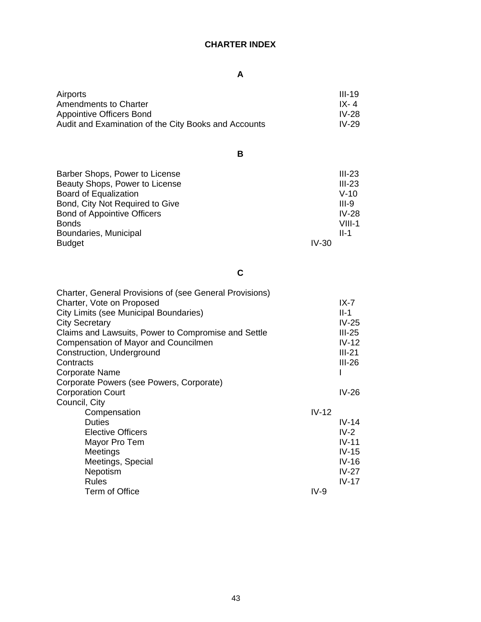# **CHARTER INDEX**

# **A**

| Airports                                             | III-19  |
|------------------------------------------------------|---------|
| Amendments to Charter                                | IX-4    |
| Appointive Officers Bond                             | IV-28   |
| Audit and Examination of the City Books and Accounts | $IV-29$ |

**B**

| Barber Shops, Power to License     |         | $III-23$ |
|------------------------------------|---------|----------|
| Beauty Shops, Power to License     |         | $III-23$ |
| <b>Board of Equalization</b>       |         | $V-10$   |
| Bond, City Not Required to Give    |         | $III-9$  |
| <b>Bond of Appointive Officers</b> |         | $IV-28$  |
| <b>Bonds</b>                       |         | $VIII-1$ |
| Boundaries, Municipal              |         | $II-1$   |
| <b>Budget</b>                      | $IV-30$ |          |

**C**

| <b>Charter, General Provisions of (see General Provisions)</b> |         |          |
|----------------------------------------------------------------|---------|----------|
| Charter, Vote on Proposed                                      |         | $IX - 7$ |
| City Limits (see Municipal Boundaries)                         |         | $II-1$   |
| <b>City Secretary</b>                                          |         | $IV-25$  |
| Claims and Lawsuits, Power to Compromise and Settle            |         | $III-25$ |
| Compensation of Mayor and Councilmen                           |         | $IV-12$  |
| Construction, Underground                                      |         | $III-21$ |
| Contracts                                                      |         | $III-26$ |
| Corporate Name                                                 |         |          |
| Corporate Powers (see Powers, Corporate)                       |         |          |
| <b>Corporation Court</b>                                       |         | $IV-26$  |
| Council, City                                                  |         |          |
| Compensation                                                   | $IV-12$ |          |
| <b>Duties</b>                                                  |         | $IV-14$  |
| <b>Elective Officers</b>                                       |         | $IV-2$   |
| Mayor Pro Tem                                                  |         | $IV-11$  |
| Meetings                                                       |         | $IV-15$  |
| Meetings, Special                                              |         | $IV-16$  |
| Nepotism                                                       |         | $IV-27$  |
| Rules                                                          |         | $IV-17$  |
| Term of Office                                                 | $IV-9$  |          |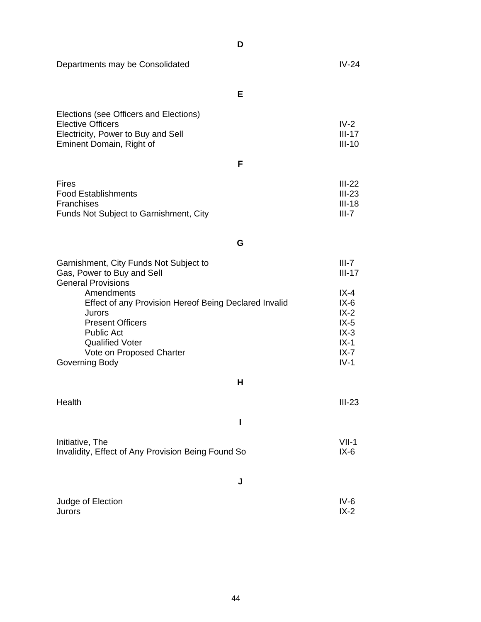Departments may be Consolidated **IV-24** 

**E**

**D**

| Elections (see Officers and Elections) |          |
|----------------------------------------|----------|
| Elective Officers                      | $IV-2$   |
| Electricity, Power to Buy and Sell     | III-17   |
| Eminent Domain, Right of               | $III-10$ |

**F**

| $III-22$ |
|----------|
| $III-23$ |
| $III-18$ |
| III-7    |
|          |

**G**

| Garnishment, City Funds Not Subject to                | III-7    |
|-------------------------------------------------------|----------|
| Gas, Power to Buy and Sell                            | $III-17$ |
| <b>General Provisions</b>                             |          |
| Amendments                                            | $IX - 4$ |
| Effect of any Provision Hereof Being Declared Invalid | $IX-6$   |
| Jurors                                                | $IX - 2$ |
| <b>Present Officers</b>                               | $IX-5$   |
| <b>Public Act</b>                                     | $IX-3$   |
| <b>Qualified Voter</b>                                | $IX-1$   |
| Vote on Proposed Charter                              | $IX - 7$ |
| Governing Body                                        | $IV-1$   |

**H**

| Health | $III-23$ |
|--------|----------|
|        |          |

| Initiative, The                                    | $VII-1$ |
|----------------------------------------------------|---------|
| Invalidity, Effect of Any Provision Being Found So | IX-6    |

**J**

| Judge of Election | $IV-6$ |
|-------------------|--------|
|                   |        |
| Jurors            | $IX-2$ |
|                   |        |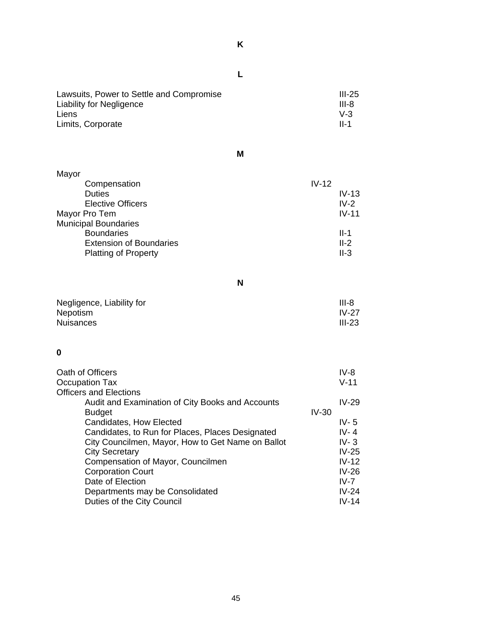| Lawsuits, Power to Settle and Compromise<br><b>Liability for Negligence</b><br>Liens<br>Limits, Corporate | $III-25$<br>III-8<br>$V-3$<br><b>II-1</b> |
|-----------------------------------------------------------------------------------------------------------|-------------------------------------------|

**M**

| Mayor                          |         |
|--------------------------------|---------|
| $IV-12$<br>Compensation        |         |
| <b>Duties</b>                  | $IV-13$ |
| <b>Elective Officers</b>       | $IV-2$  |
| Mayor Pro Tem                  | $IV-11$ |
| <b>Municipal Boundaries</b>    |         |
| <b>Boundaries</b>              | $II-1$  |
| <b>Extension of Boundaries</b> | $II-2$  |
| <b>Platting of Property</b>    | $II-3$  |

**N**

| Negligence, Liability for | $III-8$  |
|---------------------------|----------|
| <b>Nepotism</b>           | $IV-27$  |
| <b>Nuisances</b>          | $III-23$ |

# **0**

| Oath of Officers                                  | $IV-8$   |
|---------------------------------------------------|----------|
| Occupation Tax                                    | $V-11$   |
| <b>Officers and Elections</b>                     |          |
| Audit and Examination of City Books and Accounts  | $IV-29$  |
| <b>Budget</b>                                     | $IV-30$  |
| Candidates, How Elected                           | IV- $5$  |
| Candidates, to Run for Places, Places Designated  | $IV - 4$ |
| City Councilmen, Mayor, How to Get Name on Ballot | $IV-3$   |
| <b>City Secretary</b>                             | $IV-25$  |
| Compensation of Mayor, Councilmen                 | $IV-12$  |
| <b>Corporation Court</b>                          | $IV-26$  |
| Date of Election                                  | $IV-7$   |
| Departments may be Consolidated                   | $IV-24$  |
| Duties of the City Council                        | $IV-14$  |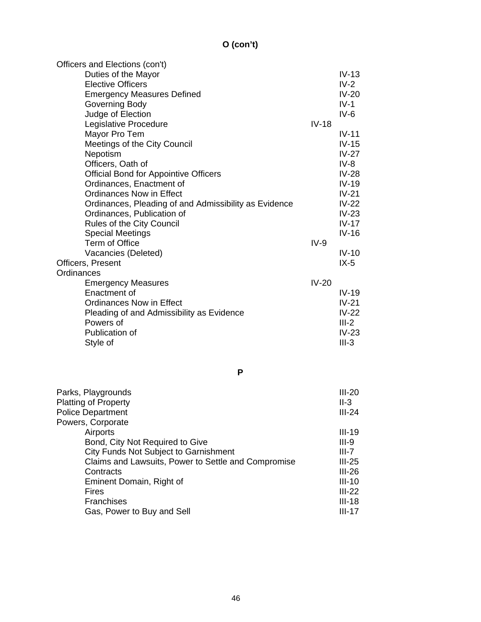# **O (con't)**

|            | Officers and Elections (con't)                        |         |          |
|------------|-------------------------------------------------------|---------|----------|
|            | Duties of the Mayor                                   |         | $IV-13$  |
|            | <b>Elective Officers</b>                              |         | $IV-2$   |
|            | <b>Emergency Measures Defined</b>                     |         | $IV-20$  |
|            | Governing Body                                        |         | $IV-1$   |
|            | Judge of Election                                     |         | $IV-6$   |
|            | Legislative Procedure                                 | $IV-18$ |          |
|            | Mayor Pro Tem                                         |         | $IV-11$  |
|            | Meetings of the City Council                          |         | $IV-15$  |
|            | Nepotism                                              |         | $IV-27$  |
|            | Officers, Oath of                                     |         | $IV-8$   |
|            | <b>Official Bond for Appointive Officers</b>          |         | $IV-28$  |
|            | Ordinances, Enactment of                              |         | $IV-19$  |
|            | <b>Ordinances Now in Effect</b>                       |         | $IV-21$  |
|            | Ordinances, Pleading of and Admissibility as Evidence |         | $IV-22$  |
|            | Ordinances, Publication of                            |         | $IV-23$  |
|            | Rules of the City Council                             |         | $IV-17$  |
|            | <b>Special Meetings</b>                               |         | $IV-16$  |
|            | Term of Office                                        | $IV-9$  |          |
|            | Vacancies (Deleted)                                   |         | $IV-10$  |
|            | Officers, Present                                     |         | $IX-5$   |
| Ordinances |                                                       |         |          |
|            | <b>Emergency Measures</b>                             | $IV-20$ |          |
|            | Enactment of                                          |         | $IV-19$  |
|            | <b>Ordinances Now in Effect</b>                       |         | $IV-21$  |
|            | Pleading of and Admissibility as Evidence             |         | $IV-22$  |
|            | Powers of                                             |         | $III-2$  |
|            | Publication of                                        |         | $IV-23$  |
|            | Style of                                              |         | $III-3$  |
|            |                                                       |         |          |
|            |                                                       |         |          |
|            | P                                                     |         |          |
|            | Parks, Playgrounds                                    |         | $III-20$ |
|            | <b>Platting of Property</b>                           |         | $II-3$   |
|            | <b>Police Department</b>                              |         | $III-24$ |
|            | Powers, Corporate                                     |         |          |
|            | Airports                                              |         | $III-19$ |
|            | Bond, City Not Required to Give                       |         | $III-9$  |
|            | <b>City Funds Not Subject to Garnishment</b>          |         | $III-7$  |
|            | Claims and Lawsuits, Power to Settle and Compromise   |         | $III-25$ |
|            | Contracts                                             |         | $III-26$ |
|            | Eminent Domain, Right of                              |         | $III-10$ |
|            | <b>Fires</b>                                          |         | $III-22$ |
|            | Franchises                                            |         | $III-18$ |
|            | Gas, Power to Buy and Sell                            |         | $III-17$ |
|            |                                                       |         |          |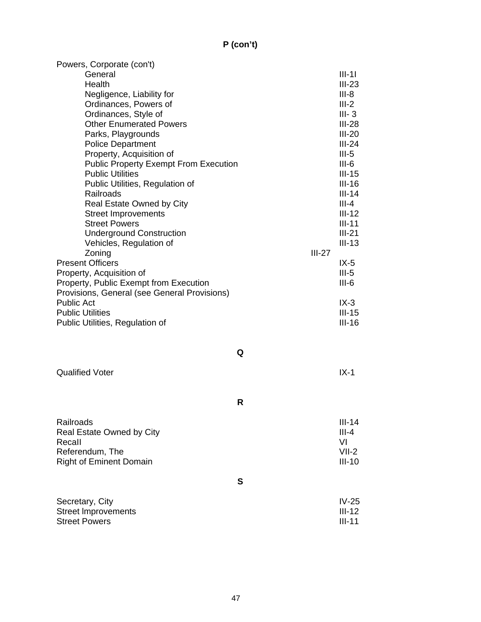# **P (con't)**

| Powers, Corporate (con't)                    |   |          |           |  |
|----------------------------------------------|---|----------|-----------|--|
| General                                      |   |          | $III-11$  |  |
| Health                                       |   |          | $III-23$  |  |
| Negligence, Liability for                    |   |          | $III-8$   |  |
| Ordinances, Powers of                        |   |          |           |  |
| Ordinances, Style of                         |   |          | $III - 3$ |  |
| <b>Other Enumerated Powers</b>               |   |          | $III-28$  |  |
| Parks, Playgrounds                           |   |          | $III-20$  |  |
| <b>Police Department</b>                     |   |          | $III-24$  |  |
| Property, Acquisition of                     |   |          | $III-5$   |  |
| <b>Public Property Exempt From Execution</b> |   |          | $III-6$   |  |
| <b>Public Utilities</b>                      |   |          | $III-15$  |  |
| Public Utilities, Regulation of              |   |          | $III-16$  |  |
| Railroads                                    |   |          | $III-14$  |  |
| Real Estate Owned by City                    |   |          | $III - 4$ |  |
| <b>Street Improvements</b>                   |   |          | $III-12$  |  |
| <b>Street Powers</b>                         |   |          | $III-11$  |  |
| <b>Underground Construction</b>              |   |          | $III-21$  |  |
| Vehicles, Regulation of                      |   |          | $III-13$  |  |
| Zoning                                       |   | $III-27$ |           |  |
| <b>Present Officers</b>                      |   |          | $IX-5$    |  |
| Property, Acquisition of                     |   |          | $III-5$   |  |
| Property, Public Exempt from Execution       |   |          | $III-6$   |  |
|                                              |   |          |           |  |
| Provisions, General (see General Provisions) |   |          |           |  |
| <b>Public Act</b>                            |   |          | $IX-3$    |  |
| <b>Public Utilities</b>                      |   |          | $III-15$  |  |
| Public Utilities, Regulation of              |   |          | $III-16$  |  |
|                                              |   |          |           |  |
|                                              |   |          |           |  |
|                                              | Q |          |           |  |
|                                              |   |          |           |  |
| <b>Qualified Voter</b>                       |   |          | $IX-1$    |  |
|                                              |   |          |           |  |
|                                              |   |          |           |  |
|                                              | R |          |           |  |
|                                              |   |          |           |  |
| Railroads                                    |   |          | $III-14$  |  |
| Real Estate Owned by City                    |   |          | $III - 4$ |  |
| Recall                                       |   |          | VI        |  |
| Referendum, The                              |   |          | $VII-2$   |  |
| <b>Right of Eminent Domain</b>               |   |          | $III-10$  |  |
|                                              |   |          |           |  |
|                                              | S |          |           |  |
|                                              |   |          |           |  |
| Secretary, City                              |   |          | $IV-25$   |  |
| <b>Street Improvements</b>                   |   |          | $III-12$  |  |
| <b>Street Powers</b>                         |   |          | $III-11$  |  |
|                                              |   |          |           |  |